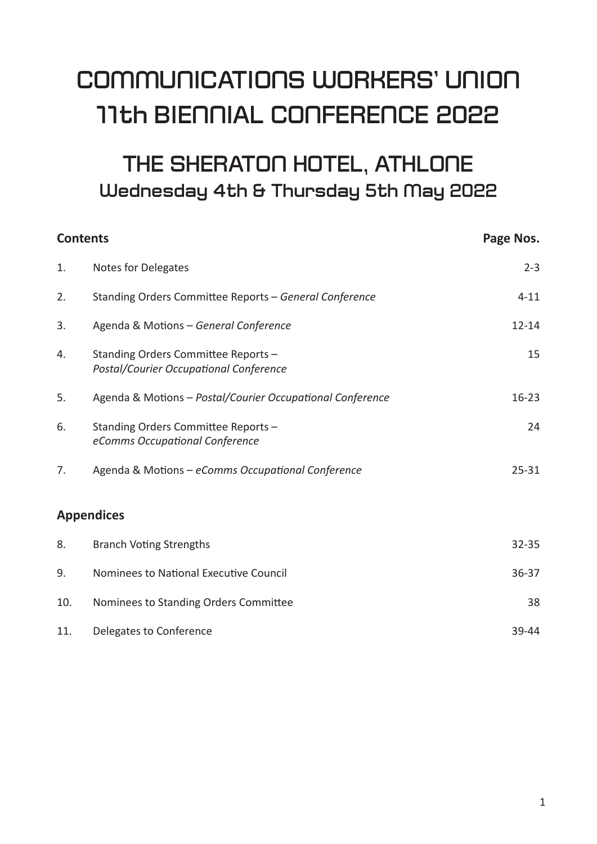# **COMMUNICATIONS WORKERS' UNION 11th BIENNIAL CONFERENCE 2022**

# THE SHERATON HOTEL, ATHLONE **Wednesday 4th & Thursday 5th May 2022**

| <b>Contents</b> |                                                                               | Page Nos. |
|-----------------|-------------------------------------------------------------------------------|-----------|
| 1.              | Notes for Delegates                                                           | $2 - 3$   |
| 2.              | Standing Orders Committee Reports - General Conference                        | $4 - 11$  |
| 3.              | Agenda & Motions - General Conference                                         | $12 - 14$ |
| 4.              | Standing Orders Committee Reports -<br>Postal/Courier Occupational Conference | 15        |
| 5.              | Agenda & Motions - Postal/Courier Occupational Conference                     | $16 - 23$ |
| 6.              | Standing Orders Committee Reports -<br>eComms Occupational Conference         | 24        |
| 7.              | Agenda & Motions - eComms Occupational Conference                             | $25 - 31$ |
|                 | <b>Appendices</b>                                                             |           |
| 8.              | <b>Branch Voting Strengths</b>                                                | $32 - 35$ |
| 9.              | Nominees to National Executive Council                                        | $36 - 37$ |
| 10.             | Nominees to Standing Orders Committee                                         | 38        |
| 11.             | Delegates to Conference                                                       | 39-44     |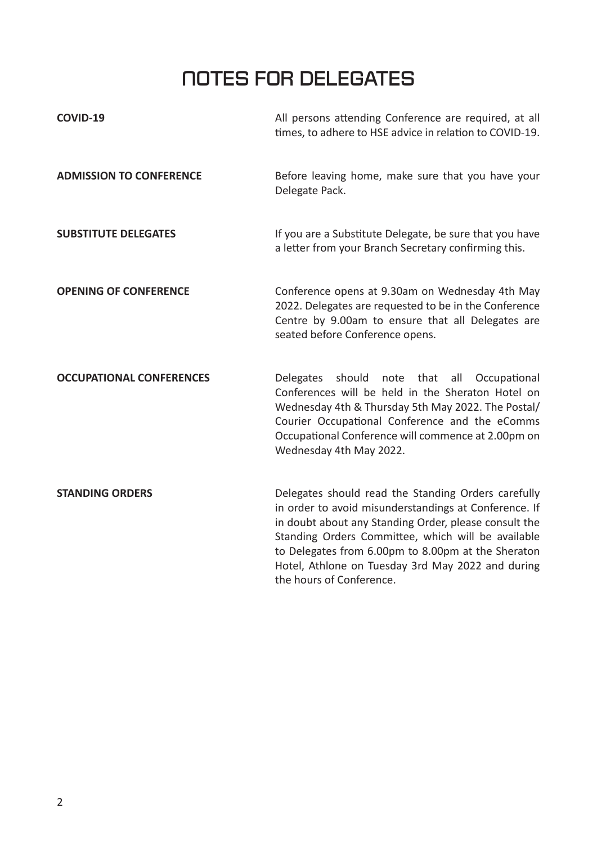# **NOTES FOR DELEGATES**

| COVID-19                        | All persons attending Conference are required, at all<br>times, to adhere to HSE advice in relation to COVID-19.                                                                                                                                                                                                                                                   |
|---------------------------------|--------------------------------------------------------------------------------------------------------------------------------------------------------------------------------------------------------------------------------------------------------------------------------------------------------------------------------------------------------------------|
| <b>ADMISSION TO CONFERENCE</b>  | Before leaving home, make sure that you have your<br>Delegate Pack.                                                                                                                                                                                                                                                                                                |
| <b>SUBSTITUTE DELEGATES</b>     | If you are a Substitute Delegate, be sure that you have<br>a letter from your Branch Secretary confirming this.                                                                                                                                                                                                                                                    |
| <b>OPENING OF CONFERENCE</b>    | Conference opens at 9.30am on Wednesday 4th May<br>2022. Delegates are requested to be in the Conference<br>Centre by 9.00am to ensure that all Delegates are<br>seated before Conference opens.                                                                                                                                                                   |
| <b>OCCUPATIONAL CONFERENCES</b> | <b>Delegates</b><br>should<br>note<br>that<br>all<br>Occupational<br>Conferences will be held in the Sheraton Hotel on<br>Wednesday 4th & Thursday 5th May 2022. The Postal/<br>Courier Occupational Conference and the eComms<br>Occupational Conference will commence at 2.00pm on<br>Wednesday 4th May 2022.                                                    |
| <b>STANDING ORDERS</b>          | Delegates should read the Standing Orders carefully<br>in order to avoid misunderstandings at Conference. If<br>in doubt about any Standing Order, please consult the<br>Standing Orders Committee, which will be available<br>to Delegates from 6.00pm to 8.00pm at the Sheraton<br>Hotel, Athlone on Tuesday 3rd May 2022 and during<br>the hours of Conference. |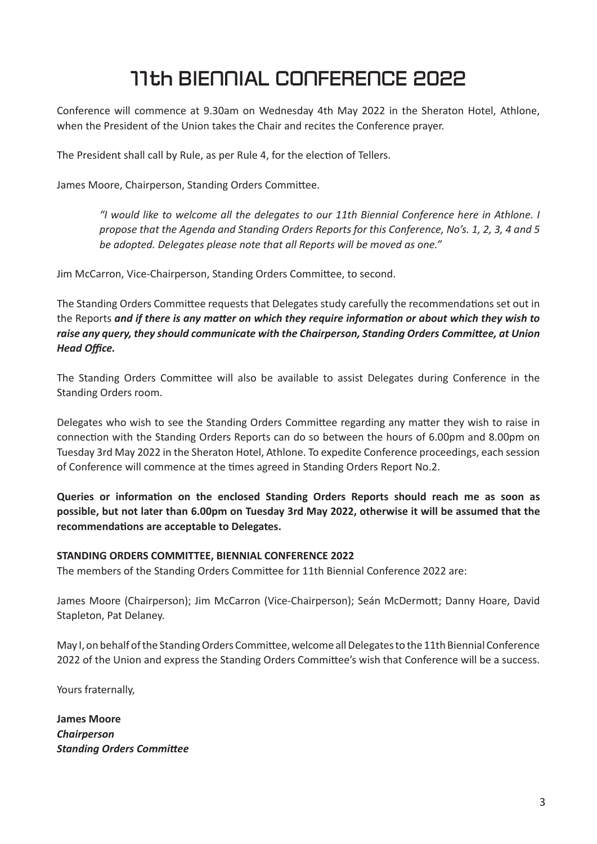# **11th BIENNIAL CONFERENCE 2022**

Conference will commence at 9.30am on Wednesday 4th May 2022 in the Sheraton Hotel, Athlone, when the President of the Union takes the Chair and recites the Conference prayer.

The President shall call by Rule, as per Rule 4, for the election of Tellers.

James Moore, Chairperson, Standing Orders Committee.

*"I would like to welcome all the delegates to our 11th Biennial Conference here in Athlone. I propose that the Agenda and Standing Orders Reports for this Conference, No's. 1, 2, 3, 4 and 5 be adopted. Delegates please note that all Reports will be moved as one."*

Jim McCarron, Vice-Chairperson, Standing Orders Committee, to second.

The Standing Orders Committee requests that Delegates study carefully the recommendations set out in the Reports *and if there is any maƩ er on which they require informaƟ on or about which they wish to raise any query, they should communicate with the Chairperson, Standing Orders Committee, at Union* **Head Office.** 

The Standing Orders Committee will also be available to assist Delegates during Conference in the Standing Orders room.

Delegates who wish to see the Standing Orders Committee regarding any matter they wish to raise in connection with the Standing Orders Reports can do so between the hours of 6.00pm and 8.00pm on Tuesday 3rd May 2022 in the Sheraton Hotel, Athlone. To expedite Conference proceedings, each session of Conference will commence at the times agreed in Standing Orders Report No.2.

**Queries or informaƟ on on the enclosed Standing Orders Reports should reach me as soon as possible, but not later than 6.00pm on Tuesday 3rd May 2022, otherwise it will be assumed that the recommendaƟ ons are acceptable to Delegates.**

#### **STANDING ORDERS COMMITTEE, BIENNIAL CONFERENCE 2022**

The members of the Standing Orders Committee for 11th Biennial Conference 2022 are:

James Moore (Chairperson); Jim McCarron (Vice-Chairperson); Seán McDermott; Danny Hoare, David Stapleton, Pat Delaney.

May I, on behalf of the Standing Orders Committee, welcome all Delegates to the 11th Biennial Conference 2022 of the Union and express the Standing Orders Committee's wish that Conference will be a success.

Yours fraternally,

**James Moore** *Chairperson* **Standing Orders Committee**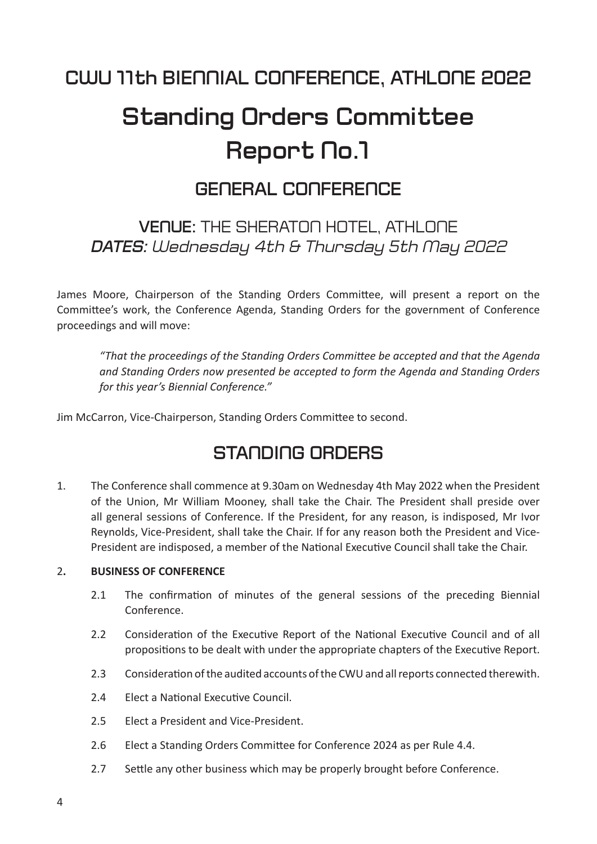# **Standing Orders Committee Report No.1**

## **GENERAL CONFERENCE**

## **VENUE:** THE SHERATON HOTEL, ATHLONE *DATES: Wednesday 4th & Thursday 5th May 2022*

James Moore, Chairperson of the Standing Orders Committee, will present a report on the Committee's work, the Conference Agenda, Standing Orders for the government of Conference proceedings and will move:

 *"That the proceedings of the Standing Orders CommiƩ ee be accepted and that the Agenda and Standing Orders now presented be accepted to form the Agenda and Standing Orders for this year's Biennial Conference."*

Jim McCarron, Vice-Chairperson, Standing Orders Committee to second.

## **STANDING ORDERS**

1. The Conference shall commence at 9.30am on Wednesday 4th May 2022 when the President of the Union, Mr William Mooney, shall take the Chair. The President shall preside over all general sessions of Conference. If the President, for any reason, is indisposed, Mr Ivor Reynolds, Vice-President, shall take the Chair. If for any reason both the President and Vice-President are indisposed, a member of the National Executive Council shall take the Chair.

### 2**. BUSINESS OF CONFERENCE**

- 2.1 The confirmation of minutes of the general sessions of the preceding Biennial Conference.
- 2.2 Consideration of the Executive Report of the National Executive Council and of all propositions to be dealt with under the appropriate chapters of the Executive Report.
- 2.3 Consideration of the audited accounts of the CWU and all reports connected therewith.
- 2.4 Elect a National Executive Council.
- 2.5 Elect a President and Vice-President.
- 2.6 Elect a Standing Orders Committee for Conference 2024 as per Rule 4.4.
- 2.7 Settle any other business which may be properly brought before Conference.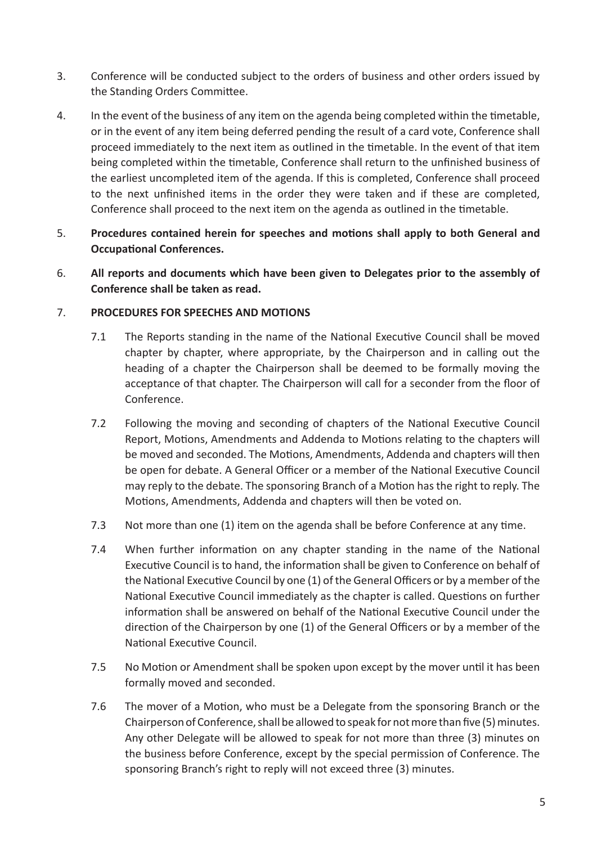- 3. Conference will be conducted subject to the orders of business and other orders issued by the Standing Orders Committee.
- 4. In the event of the business of any item on the agenda being completed within the timetable, or in the event of any item being deferred pending the result of a card vote, Conference shall proceed immediately to the next item as outlined in the timetable. In the event of that item being completed within the timetable, Conference shall return to the unfinished business of the earliest uncompleted item of the agenda. If this is completed, Conference shall proceed to the next unfinished items in the order they were taken and if these are completed, Conference shall proceed to the next item on the agenda as outlined in the timetable.
- 5. **Procedures contained herein for speeches and motions shall apply to both General and Occupational Conferences.**
- 6. **All reports and documents which have been given to Delegates prior to the assembly of Conference shall be taken as read.**

### 7. **PROCEDURES FOR SPEECHES AND MOTIONS**

- 7.1 The Reports standing in the name of the National Executive Council shall be moved chapter by chapter, where appropriate, by the Chairperson and in calling out the heading of a chapter the Chairperson shall be deemed to be formally moving the acceptance of that chapter. The Chairperson will call for a seconder from the floor of Conference.
- 7.2 Following the moving and seconding of chapters of the National Executive Council Report, Motions, Amendments and Addenda to Motions relating to the chapters will be moved and seconded. The Motions, Amendments, Addenda and chapters will then be open for debate. A General Officer or a member of the National Executive Council may reply to the debate. The sponsoring Branch of a Motion has the right to reply. The Motions, Amendments, Addenda and chapters will then be voted on.
- 7.3 Not more than one (1) item on the agenda shall be before Conference at any time.
- 7.4 When further information on any chapter standing in the name of the National Executive Council is to hand, the information shall be given to Conference on behalf of the National Executive Council by one (1) of the General Officers or by a member of the National Executive Council immediately as the chapter is called. Questions on further information shall be answered on behalf of the National Executive Council under the direction of the Chairperson by one (1) of the General Officers or by a member of the National Executive Council.
- 7.5 No Motion or Amendment shall be spoken upon except by the mover until it has been formally moved and seconded.
- 7.6 The mover of a Motion, who must be a Delegate from the sponsoring Branch or the Chairperson of Conference, shall be allowed to speak for not more than five (5) minutes. Any other Delegate will be allowed to speak for not more than three (3) minutes on the business before Conference, except by the special permission of Conference. The sponsoring Branch's right to reply will not exceed three (3) minutes.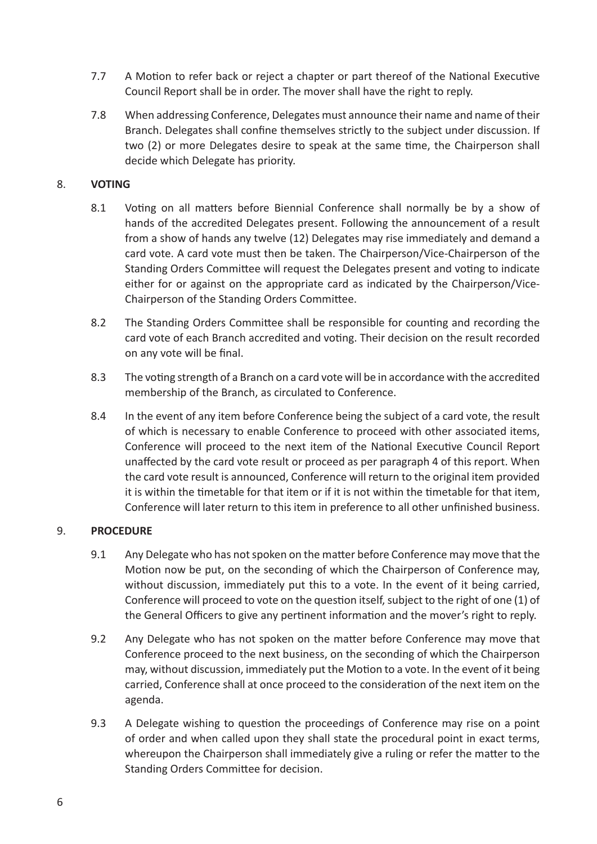- 7.7 A Motion to refer back or reject a chapter or part thereof of the National Executive Council Report shall be in order. The mover shall have the right to reply.
- 7.8 When addressing Conference, Delegates must announce their name and name of their Branch. Delegates shall confine themselves strictly to the subject under discussion. If two (2) or more Delegates desire to speak at the same time, the Chairperson shall decide which Delegate has priority.

### 8. **VOTING**

- 8.1 Voting on all matters before Biennial Conference shall normally be by a show of hands of the accredited Delegates present. Following the announcement of a result from a show of hands any twelve (12) Delegates may rise immediately and demand a card vote. A card vote must then be taken. The Chairperson/Vice-Chairperson of the Standing Orders Committee will request the Delegates present and voting to indicate either for or against on the appropriate card as indicated by the Chairperson/Vice-Chairperson of the Standing Orders Committee.
- 8.2 The Standing Orders Committee shall be responsible for counting and recording the card vote of each Branch accredited and voting. Their decision on the result recorded on any vote will be final.
- 8.3 The voting strength of a Branch on a card vote will be in accordance with the accredited membership of the Branch, as circulated to Conference.
- 8.4 In the event of any item before Conference being the subject of a card vote, the result of which is necessary to enable Conference to proceed with other associated items, Conference will proceed to the next item of the National Executive Council Report unaffected by the card vote result or proceed as per paragraph 4 of this report. When the card vote result is announced, Conference will return to the original item provided it is within the timetable for that item or if it is not within the timetable for that item, Conference will later return to this item in preference to all other unfinished business.

### 9. **PROCEDURE**

- 9.1 Any Delegate who has not spoken on the matter before Conference may move that the Motion now be put, on the seconding of which the Chairperson of Conference may, without discussion, immediately put this to a vote. In the event of it being carried, Conference will proceed to vote on the question itself, subject to the right of one (1) of the General Officers to give any pertinent information and the mover's right to reply.
- 9.2 Any Delegate who has not spoken on the matter before Conference may move that Conference proceed to the next business, on the seconding of which the Chairperson may, without discussion, immediately put the Motion to a vote. In the event of it being carried, Conference shall at once proceed to the consideration of the next item on the agenda.
- 9.3 A Delegate wishing to question the proceedings of Conference may rise on a point of order and when called upon they shall state the procedural point in exact terms, whereupon the Chairperson shall immediately give a ruling or refer the matter to the Standing Orders Committee for decision.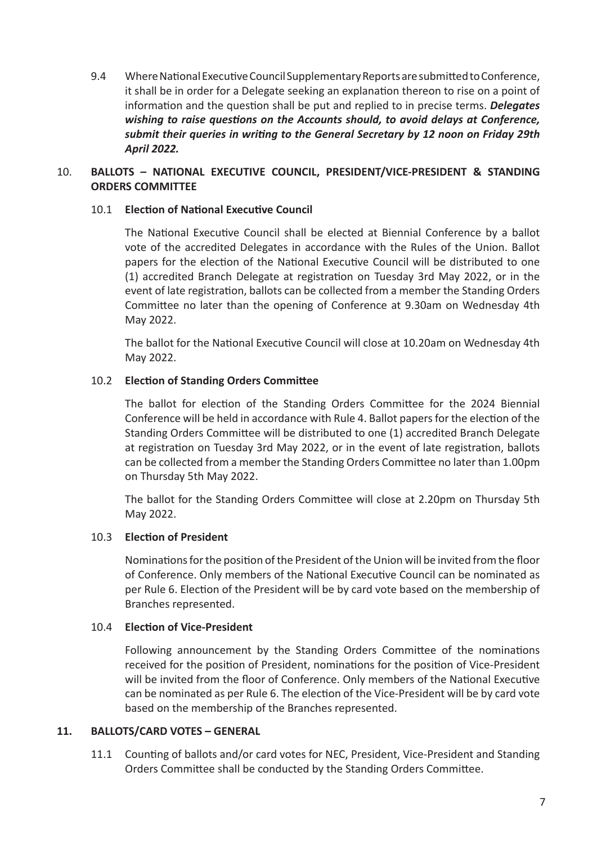9.4 Where National Executive Council Supplementary Reports are submitted to Conference, it shall be in order for a Delegate seeking an explanation thereon to rise on a point of information and the question shall be put and replied to in precise terms. *Delegates wishing to raise questions on the Accounts should, to avoid delays at Conference, submit their queries in wriƟ ng to the General Secretary by 12 noon on Friday 29th April 2022.*

### 10. **BALLOTS – NATIONAL EXECUTIVE COUNCIL, PRESIDENT/VICE-PRESIDENT & STANDING ORDERS COMMITTEE**

### 10.1 **ElecƟ on of NaƟ onal ExecuƟ ve Council**

The National Executive Council shall be elected at Biennial Conference by a ballot vote of the accredited Delegates in accordance with the Rules of the Union. Ballot papers for the election of the National Executive Council will be distributed to one (1) accredited Branch Delegate at registration on Tuesday 3rd May 2022, or in the event of late registration, ballots can be collected from a member the Standing Orders Committee no later than the opening of Conference at 9.30am on Wednesday 4th May 2022.

The ballot for the National Executive Council will close at 10.20am on Wednesday 4th May 2022.

### 10.2 **Election of Standing Orders Committee**

The ballot for election of the Standing Orders Committee for the 2024 Biennial Conference will be held in accordance with Rule 4. Ballot papers for the election of the Standing Orders Committee will be distributed to one (1) accredited Branch Delegate at registration on Tuesday 3rd May 2022, or in the event of late registration, ballots can be collected from a member the Standing Orders Committee no later than 1.00pm on Thursday 5th May 2022.

The ballot for the Standing Orders Committee will close at 2.20pm on Thursday 5th May 2022.

### 10.3 **Election of President**

Nominations for the position of the President of the Union will be invited from the floor of Conference. Only members of the National Executive Council can be nominated as per Rule 6. Election of the President will be by card vote based on the membership of Branches represented.

### 10.4 **Election of Vice-President**

Following announcement by the Standing Orders Committee of the nominations received for the position of President, nominations for the position of Vice-President will be invited from the floor of Conference. Only members of the National Executive can be nominated as per Rule 6. The election of the Vice-President will be by card vote based on the membership of the Branches represented.

### **11. BALLOTS/CARD VOTES – GENERAL**

11.1 Counting of ballots and/or card votes for NEC, President, Vice-President and Standing Orders Committee shall be conducted by the Standing Orders Committee.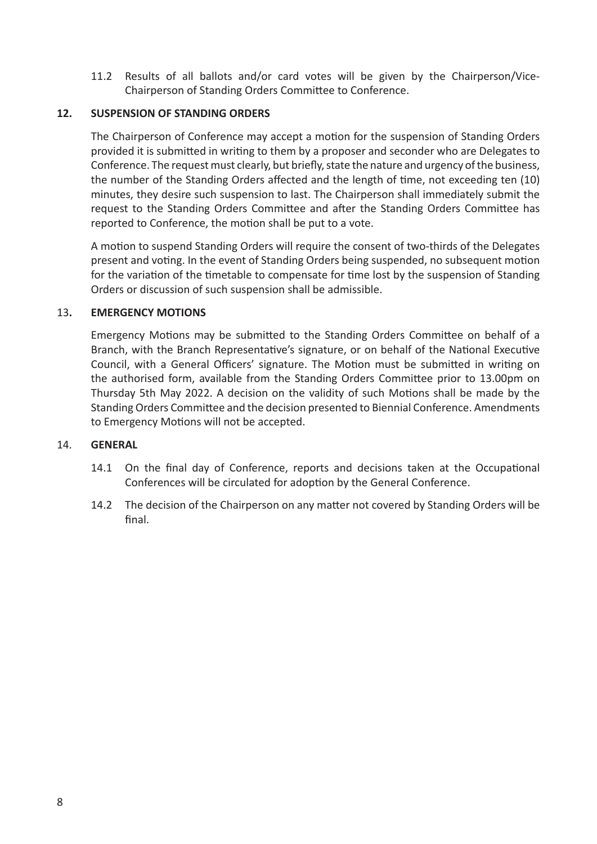11.2 Results of all ballots and/or card votes will be given by the Chairperson/Vice-Chairperson of Standing Orders Committee to Conference.

### **12. SUSPENSION OF STANDING ORDERS**

The Chairperson of Conference may accept a motion for the suspension of Standing Orders provided it is submitted in writing to them by a proposer and seconder who are Delegates to Conference. The request must clearly, but briefly, state the nature and urgency of the business. the number of the Standing Orders affected and the length of time, not exceeding ten (10) minutes, they desire such suspension to last. The Chairperson shall immediately submit the request to the Standing Orders Committee and after the Standing Orders Committee has reported to Conference, the motion shall be put to a vote.

A motion to suspend Standing Orders will require the consent of two-thirds of the Delegates present and voting. In the event of Standing Orders being suspended, no subsequent motion for the variation of the timetable to compensate for time lost by the suspension of Standing Orders or discussion of such suspension shall be admissible.

### 13**. EMERGENCY MOTIONS**

Emergency Motions may be submitted to the Standing Orders Committee on behalf of a Branch, with the Branch Representative's signature, or on behalf of the National Executive Council, with a General Officers' signature. The Motion must be submitted in writing on the authorised form, available from the Standing Orders Committee prior to 13.00pm on Thursday 5th May 2022. A decision on the validity of such Motions shall be made by the Standing Orders Committee and the decision presented to Biennial Conference. Amendments to Emergency Motions will not be accepted.

### 14. **GENERAL**

- 14.1 On the final day of Conference, reports and decisions taken at the Occupational Conferences will be circulated for adoption by the General Conference.
- 14.2 The decision of the Chairperson on any matter not covered by Standing Orders will be final.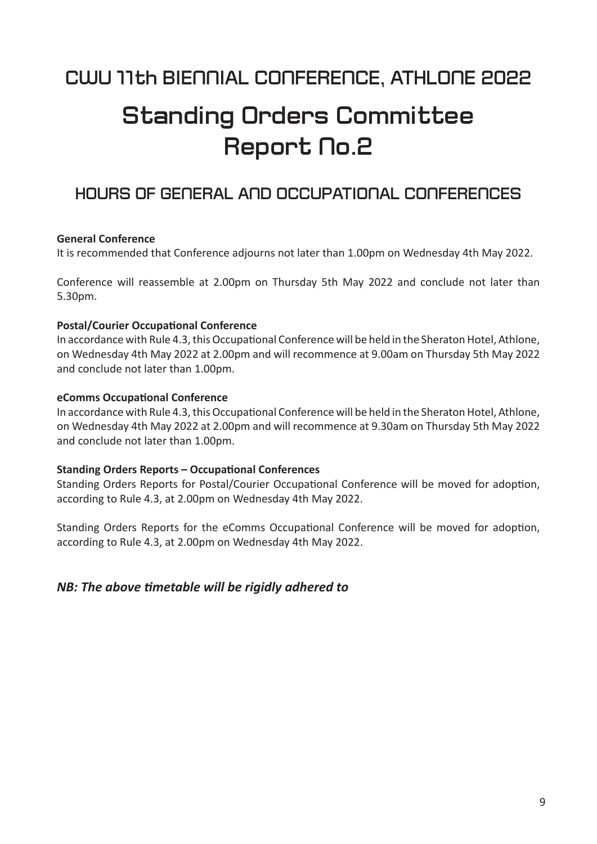# **Standing Orders Committee Report No.2**

### **HOURS OF GENERAL AND OCCUPATIONAL CONFERENCES**

### **General Conference**

It is recommended that Conference adjourns not later than 1.00pm on Wednesday 4th May 2022.

Conference will reassemble at 2.00pm on Thursday 5th May 2022 and conclude not later than 5.30pm.

### **Postal/Courier Occupational Conference**

In accordance with Rule 4.3, this Occupational Conference will be held in the Sheraton Hotel, Athlone, on Wednesday 4th May 2022 at 2.00pm and will recommence at 9.00am on Thursday 5th May 2022 and conclude not later than 1.00pm.

### **eComms Occupational Conference**

In accordance with Rule 4.3, this Occupational Conference will be held in the Sheraton Hotel, Athlone, on Wednesday 4th May 2022 at 2.00pm and will recommence at 9.30am on Thursday 5th May 2022 and conclude not later than 1.00pm.

#### **Standing Orders Reports – Occupational Conferences**

Standing Orders Reports for Postal/Courier Occupational Conference will be moved for adoption, according to Rule 4.3, at 2.00pm on Wednesday 4th May 2022.

Standing Orders Reports for the eComms Occupational Conference will be moved for adoption, according to Rule 4.3, at 2.00pm on Wednesday 4th May 2022.

### *NB: The above Ɵ metable will be rigidly adhered to*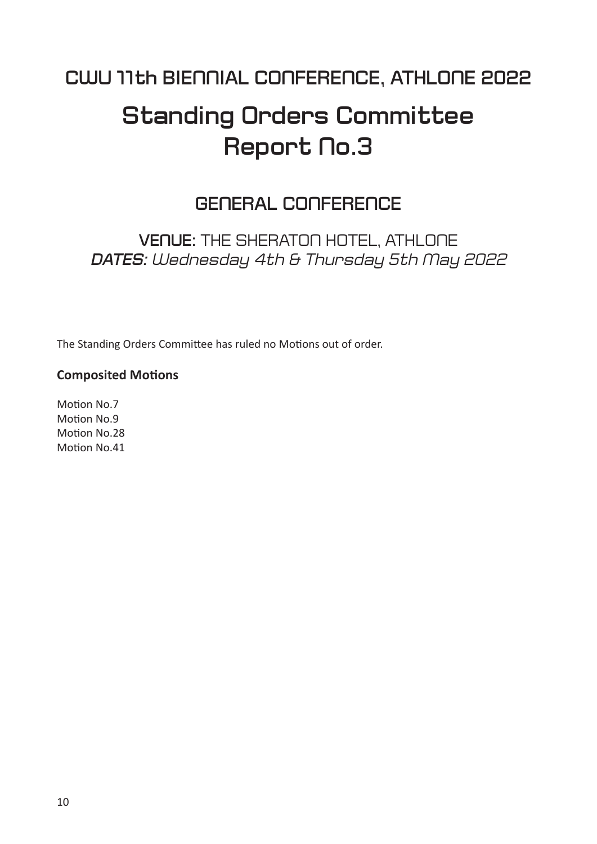# **Standing Orders Committee Report No.3**

## **GENERAL CONFERENCE**

**VENUE:** THE SHERATON HOTEL, ATHLONE *DATES: Wednesday 4th & Thursday 5th May 2022*

The Standing Orders Committee has ruled no Motions out of order.

### **Composited Motions**

Motion No.7 Motion No.9 Motion No.28 Motion No.41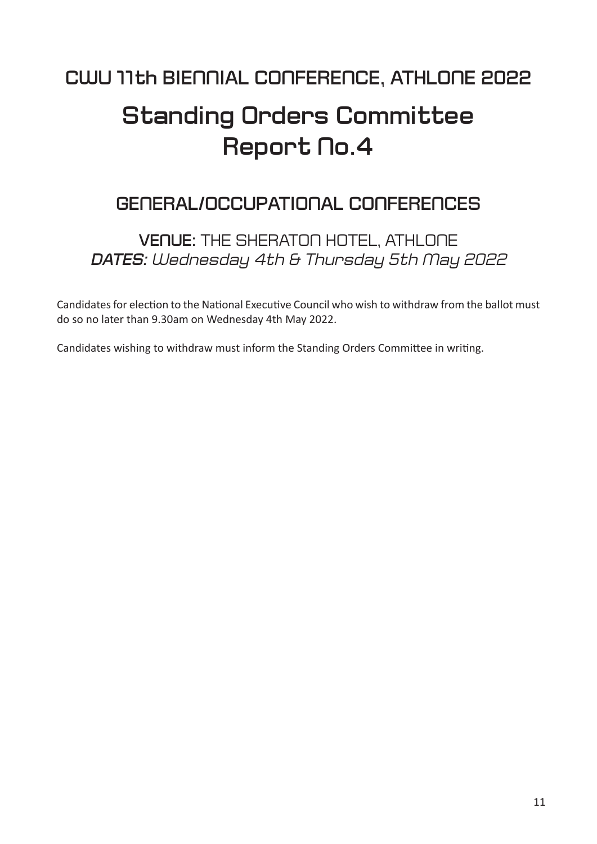# **Standing Orders Committee** Report No.4

## **GENERAL/OCCUPATIONAL CONFERENCES**

**VENUE:** THE SHERATON HOTEL, ATHLONE *DATES: Wednesday 4th & Thursday 5th May 2022*

Candidates for election to the National Executive Council who wish to withdraw from the ballot must do so no later than 9.30am on Wednesday 4th May 2022.

Candidates wishing to withdraw must inform the Standing Orders Committee in writing.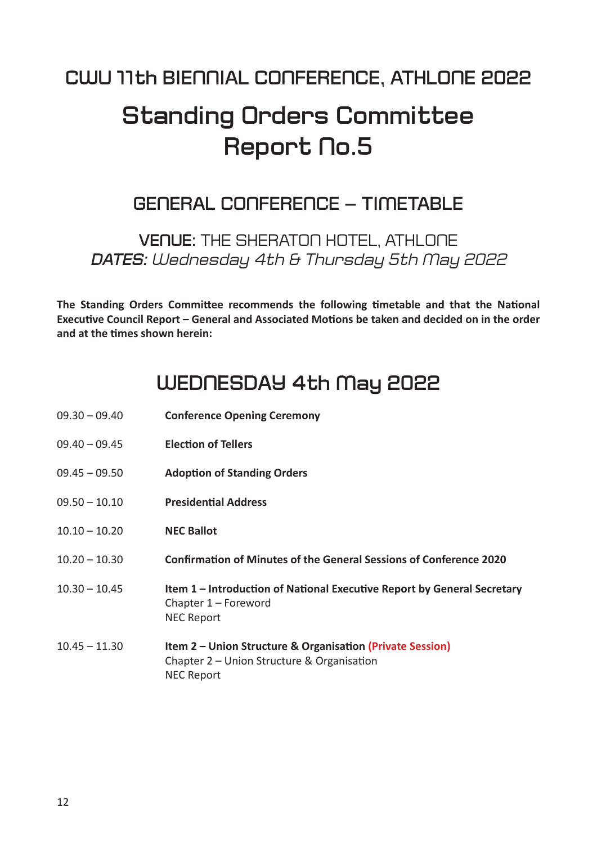# **Standing Orders Committee Report No.5**

## **GENERAL CONFERENCE – TIMETABLE**

**VENUE:** THE SHERATON HOTEL, ATHLONE *DATES: Wednesday 4th & Thursday 5th May 2022*

The Standing Orders Committee recommends the following timetable and that the National Executive Council Report – General and Associated Motions be taken and decided on in the order **and at the Ɵ mes shown herein:**

## **WEDNESDAY 4th May 2022**

| $09.30 - 09.40$ | <b>Conference Opening Ceremony</b>                                                                                                      |
|-----------------|-----------------------------------------------------------------------------------------------------------------------------------------|
| $09.40 - 09.45$ | <b>Election of Tellers</b>                                                                                                              |
| $09.45 - 09.50$ | <b>Adoption of Standing Orders</b>                                                                                                      |
| $09.50 - 10.10$ | <b>Presidential Address</b>                                                                                                             |
| $10.10 - 10.20$ | <b>NEC Ballot</b>                                                                                                                       |
| $10.20 - 10.30$ | <b>Confirmation of Minutes of the General Sessions of Conference 2020</b>                                                               |
| $10.30 - 10.45$ | Item 1 – Introduction of National Executive Report by General Secretary<br>Chapter 1 - Foreword<br><b>NEC Report</b>                    |
| $10.45 - 11.30$ | <b>Item 2 – Union Structure &amp; Organisation (Private Session)</b><br>Chapter 2 – Union Structure & Organisation<br><b>NEC Report</b> |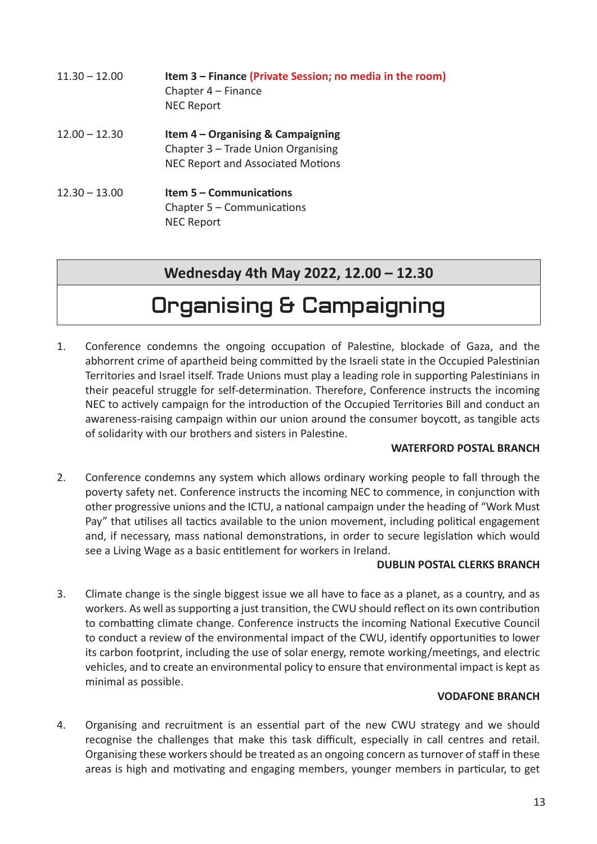| $11.30 - 12.00$ | Item 3 - Finance (Private Session; no media in the room)<br>Chapter 4 - Finance<br><b>NEC Report</b>           |
|-----------------|----------------------------------------------------------------------------------------------------------------|
| $12.00 - 12.30$ | Item $4 -$ Organising & Campaigning<br>Chapter 3 - Trade Union Organising<br>NEC Report and Associated Motions |
| $12.30 - 13.00$ | <b>Item 5 - Communications</b><br>Chapter $5 -$ Communications<br><b>NEC Report</b>                            |

### **Wednesday 4th May 2022, 12.00 – 12.30**

# **Organising & Campaigning**

1. Conference condemns the ongoing occupation of Palestine, blockade of Gaza, and the abhorrent crime of apartheid being committed by the Israeli state in the Occupied Palestinian Territories and Israel itself. Trade Unions must play a leading role in supporting Palestinians in their peaceful struggle for self-determination. Therefore, Conference instructs the incoming NEC to actively campaign for the introduction of the Occupied Territories Bill and conduct an awareness-raising campaign within our union around the consumer boycott, as tangible acts of solidarity with our brothers and sisters in Palestine.

### **WATERFORD POSTAL BRANCH**

2. Conference condemns any system which allows ordinary working people to fall through the poverty safety net. Conference instructs the incoming NEC to commence, in conjunction with other progressive unions and the ICTU, a national campaign under the heading of "Work Must Pay" that utilises all tactics available to the union movement, including political engagement and, if necessary, mass national demonstrations, in order to secure legislation which would see a Living Wage as a basic entitlement for workers in Ireland.

### **DUBLIN POSTAL CLERKS BRANCH**

3. Climate change is the single biggest issue we all have to face as a planet, as a country, and as workers. As well as supporting a just transition, the CWU should reflect on its own contribution to combatting climate change. Conference instructs the incoming National Executive Council to conduct a review of the environmental impact of the CWU, identify opportunities to lower its carbon footprint, including the use of solar energy, remote working/meetings, and electric vehicles, and to create an environmental policy to ensure that environmental impact is kept as minimal as possible.

### **VODAFONE BRANCH**

4. Organising and recruitment is an essential part of the new CWU strategy and we should recognise the challenges that make this task difficult, especially in call centres and retail. Organising these workers should be treated as an ongoing concern as turnover of staff in these areas is high and motivating and engaging members, younger members in particular, to get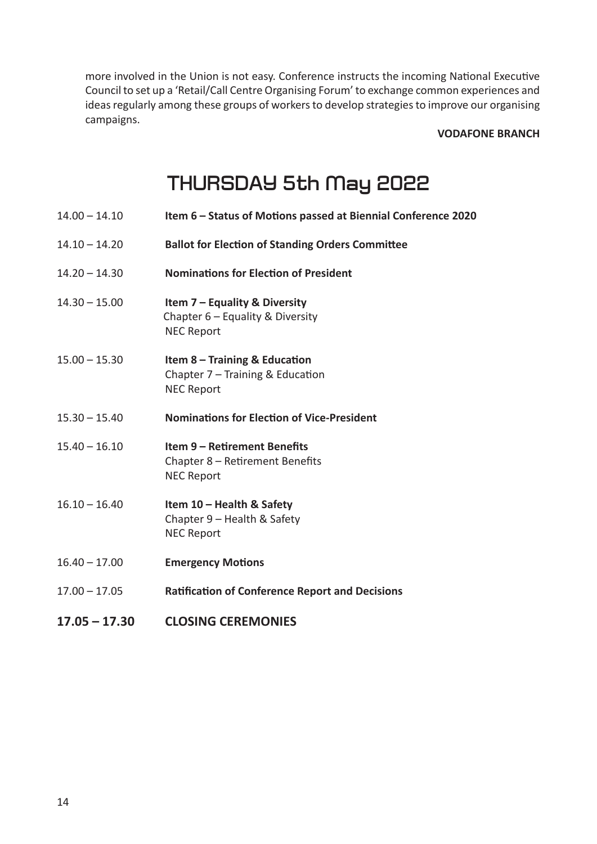more involved in the Union is not easy. Conference instructs the incoming National Executive Council to set up a 'Retail/Call Centre Organising Forum' to exchange common experiences and ideas regularly among these groups of workers to develop strategies to improve our organising campaigns.

**VODAFONE BRANCH**

# **THURSDAY 5th May 2022**

- 14.00 14.10 **Item 6 Status of MoƟ ons passed at Biennial Conference 2020**
- 14.10 14.20 **Ballot for Election of Standing Orders Committee**
- 14.20 14.30 **NominaƟ ons for ElecƟ on of President**
- 14.30 15.00 **Item 7 Equality & Diversity** Chapter 6 – Equality & Diversity NEC Report
- 15.00 15.30 **Item 8 Training & Education** Chapter  $7$  – Training & Education NEC Report
- 15.30 15.40 **NominaƟ ons for ElecƟ on of Vice-President**
- 15.40 16.10 **Item 9 ReƟ rement Benefi ts** Chapter  $8$  – Retirement Benefits NEC Report
- 16.10 16.40 **Item 10 Health & Safety** Chapter 9 – Health & Safety NEC Report
- 16.40 17.00 **Emergency Motions**
- 17.00 17.05 **RaƟfi caƟ on of Conference Report and Decisions**
- **17.05 17.30 CLOSING CEREMONIES**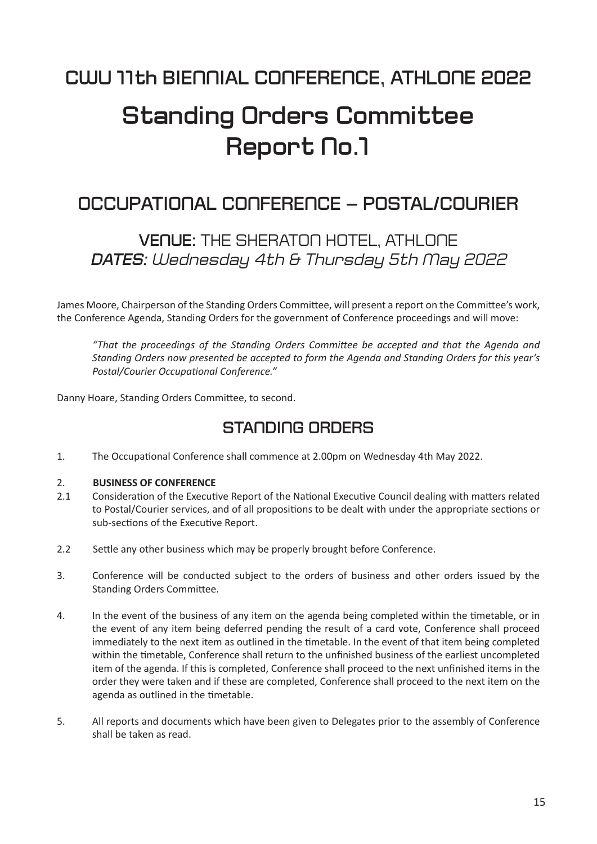# **Standing Orders Committee** Report No.1

## **OCCUPATIONAL CONFERENCE – POSTAL/COURIER**

## **VENUE:** THE SHERATON HOTEL, ATHLONE *DATES: Wednesday 4th & Thursday 5th May 2022*

James Moore, Chairperson of the Standing Orders Committee, will present a report on the Committee's work, the Conference Agenda, Standing Orders for the government of Conference proceedings and will move:

*"That the proceedings of the Standing Orders CommiƩ ee be accepted and that the Agenda and Standing Orders now presented be accepted to form the Agenda and Standing Orders for this year's Postal/Courier Occupational Conference."* 

Danny Hoare, Standing Orders Committee, to second.

## **STANDING ORDERS**

1. The Occupational Conference shall commence at 2.00pm on Wednesday 4th May 2022.

#### 2. **BUSINESS OF CONFERENCE**

- 2.1 Consideration of the Executive Report of the National Executive Council dealing with matters related to Postal/Courier services, and of all propositions to be dealt with under the appropriate sections or sub-sections of the Executive Report.
- 2.2 Settle any other business which may be properly brought before Conference.
- 3. Conference will be conducted subject to the orders of business and other orders issued by the Standing Orders Committee.
- 4. In the event of the business of any item on the agenda being completed within the timetable, or in the event of any item being deferred pending the result of a card vote, Conference shall proceed immediately to the next item as outlined in the timetable. In the event of that item being completed within the timetable, Conference shall return to the unfinished business of the earliest uncompleted item of the agenda. If this is completed, Conference shall proceed to the next unfinished items in the order they were taken and if these are completed, Conference shall proceed to the next item on the agenda as outlined in the timetable.
- 5. All reports and documents which have been given to Delegates prior to the assembly of Conference shall be taken as read.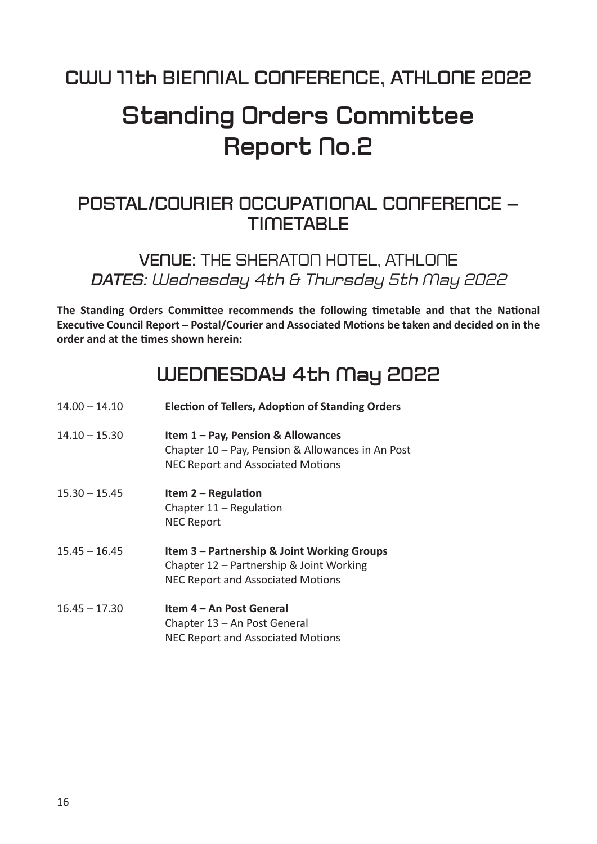# **Standing Orders Committee Report No.2**

## **POSTAL/COURIER OCCUPATIONAL CONFERENCE – TIMETABLE**

**VENUE:** THE SHERATON HOTEL, ATHLONE *DATES: Wednesday 4th & Thursday 5th May 2022*

**The Standing Orders Committee recommends the following timetable and that the National ExecuƟ ve Council Report – Postal/Courier and Associated MoƟ ons be taken and decided on in the order and at the Ɵ mes shown herein:**

## **WEDNESDAY 4th May 2022**

| $14.00 - 14.10$ | <b>Election of Tellers, Adoption of Standing Orders</b>                                                                             |
|-----------------|-------------------------------------------------------------------------------------------------------------------------------------|
| $14.10 - 15.30$ | Item 1 - Pay, Pension & Allowances<br>Chapter 10 - Pay, Pension & Allowances in An Post<br>NEC Report and Associated Motions        |
| $15.30 - 15.45$ | Item $2 -$ Regulation<br>Chapter $11 -$ Regulation<br><b>NEC Report</b>                                                             |
| $15.45 - 16.45$ | Item 3 – Partnership & Joint Working Groups<br>Chapter 12 - Partnership & Joint Working<br><b>NEC Report and Associated Motions</b> |
| $16.45 - 17.30$ | Item 4 – An Post General<br>Chapter 13 - An Post General<br><b>NEC Report and Associated Motions</b>                                |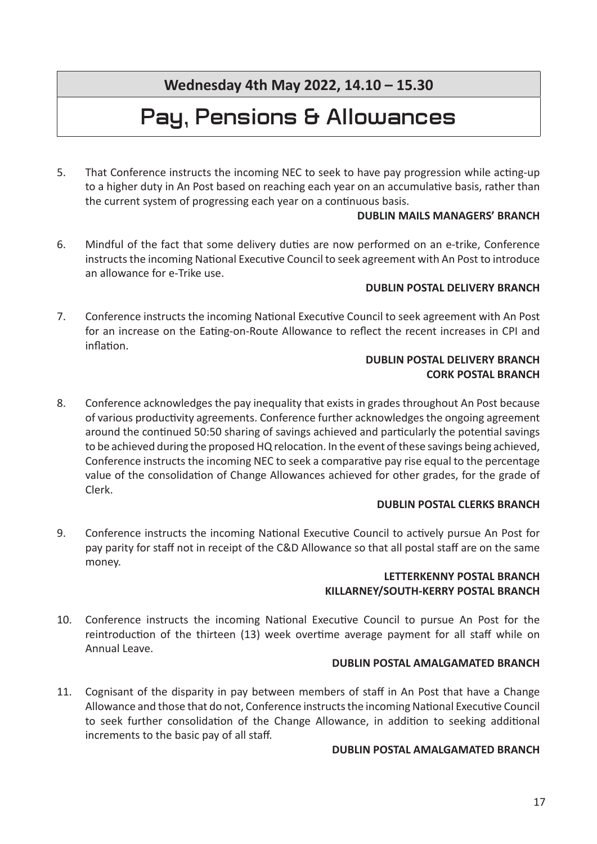**Wednesday 4th May 2022, 14.10 – 15.30**

# **Pay, Pensions & Allowances**

5. That Conference instructs the incoming NEC to seek to have pay progression while acting-up to a higher duty in An Post based on reaching each year on an accumulative basis, rather than the current system of progressing each year on a continuous basis.

### **DUBLIN MAILS MANAGERS' BRANCH**

6. Mindful of the fact that some delivery duties are now performed on an e-trike, Conference instructs the incoming National Executive Council to seek agreement with An Post to introduce an allowance for e-Trike use.

### **DUBLIN POSTAL DELIVERY BRANCH**

7. Conference instructs the incoming National Executive Council to seek agreement with An Post for an increase on the Eating-on-Route Allowance to reflect the recent increases in CPI and inflation.

### **DUBLIN POSTAL DELIVERY BRANCH CORK POSTAL BRANCH**

8. Conference acknowledges the pay inequality that exists in grades throughout An Post because of various productivity agreements. Conference further acknowledges the ongoing agreement around the continued 50:50 sharing of savings achieved and particularly the potential savings to be achieved during the proposed HQ relocation. In the event of these savings being achieved, Conference instructs the incoming NEC to seek a comparative pay rise equal to the percentage value of the consolidation of Change Allowances achieved for other grades, for the grade of Clerk.

### **DUBLIN POSTAL CLERKS BRANCH**

9. Conference instructs the incoming National Executive Council to actively pursue An Post for pay parity for staff not in receipt of the C&D Allowance so that all postal staff are on the same money.

### **LETTERKENNY POSTAL BRANCH KILLARNEY/SOUTH-KERRY POSTAL BRANCH**

10. Conference instructs the incoming National Executive Council to pursue An Post for the reintroduction of the thirteen (13) week overtime average payment for all staff while on Annual Leave.

### **DUBLIN POSTAL AMALGAMATED BRANCH**

11. Cognisant of the disparity in pay between members of staff in An Post that have a Change Allowance and those that do not, Conference instructs the incoming National Executive Council to seek further consolidation of the Change Allowance, in addition to seeking additional increments to the basic pay of all staff.

### **DUBLIN POSTAL AMALGAMATED BRANCH**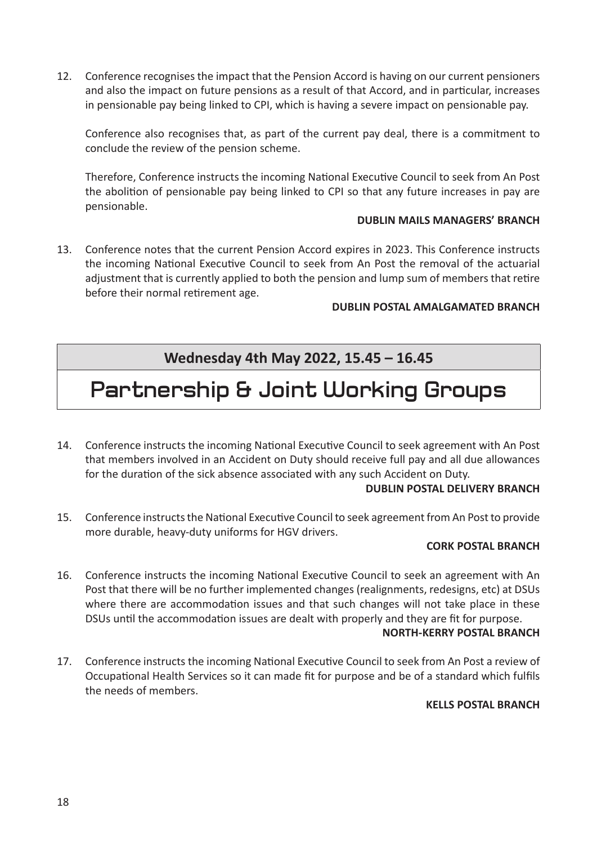12. Conference recognises the impact that the Pension Accord is having on our current pensioners and also the impact on future pensions as a result of that Accord, and in particular, increases in pensionable pay being linked to CPI, which is having a severe impact on pensionable pay.

Conference also recognises that, as part of the current pay deal, there is a commitment to conclude the review of the pension scheme.

Therefore, Conference instructs the incoming National Executive Council to seek from An Post the abolition of pensionable pay being linked to CPI so that any future increases in pay are pensionable.

### **DUBLIN MAILS MANAGERS' BRANCH**

13. Conference notes that the current Pension Accord expires in 2023. This Conference instructs the incoming National Executive Council to seek from An Post the removal of the actuarial adjustment that is currently applied to both the pension and lump sum of members that retire before their normal retirement age.

### **DUBLIN POSTAL AMALGAMATED BRANCH**

## **Wednesday 4th May 2022, 15.45 – 16.45**

# **Partnership & Joint Working Groups**

14. Conference instructs the incoming National Executive Council to seek agreement with An Post that members involved in an Accident on Duty should receive full pay and all due allowances for the duration of the sick absence associated with any such Accident on Duty.

### **DUBLIN POSTAL DELIVERY BRANCH**

15. Conference instructs the National Executive Council to seek agreement from An Post to provide more durable, heavy-duty uniforms for HGV drivers.

### **CORK POSTAL BRANCH**

16. Conference instructs the incoming National Executive Council to seek an agreement with An Post that there will be no further implemented changes (realignments, redesigns, etc) at DSUs where there are accommodation issues and that such changes will not take place in these DSUs until the accommodation issues are dealt with properly and they are fit for purpose.

### **NORTH-KERRY POSTAL BRANCH**

17. Conference instructs the incoming National Executive Council to seek from An Post a review of Occupational Health Services so it can made fit for purpose and be of a standard which fulfils the needs of members.

### **KELLS POSTAL BRANCH**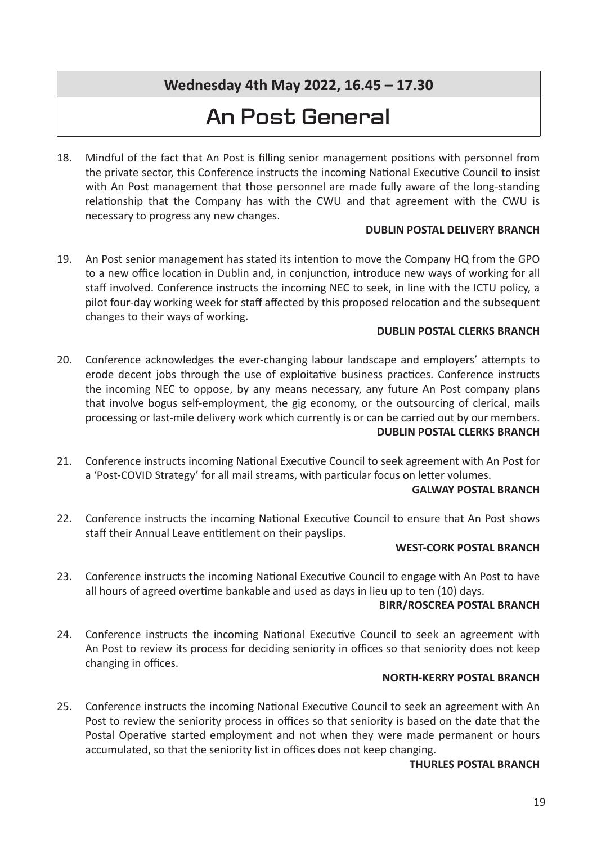## **Wednesday 4th May 2022, 16.45 – 17.30**

# **An Post General**

18. Mindful of the fact that An Post is filling senior management positions with personnel from the private sector, this Conference instructs the incoming National Executive Council to insist with An Post management that those personnel are made fully aware of the long-standing relationship that the Company has with the CWU and that agreement with the CWU is necessary to progress any new changes.

### **DUBLIN POSTAL DELIVERY BRANCH**

19. An Post senior management has stated its intention to move the Company HQ from the GPO to a new office location in Dublin and, in conjunction, introduce new ways of working for all staff involved. Conference instructs the incoming NEC to seek, in line with the ICTU policy, a pilot four-day working week for staff affected by this proposed relocation and the subsequent changes to their ways of working.

### **DUBLIN POSTAL CLERKS BRANCH**

- 20. Conference acknowledges the ever-changing labour landscape and employers' attempts to erode decent jobs through the use of exploitative business practices. Conference instructs the incoming NEC to oppose, by any means necessary, any future An Post company plans that involve bogus self-employment, the gig economy, or the outsourcing of clerical, mails processing or last-mile delivery work which currently is or can be carried out by our members. **DUBLIN POSTAL CLERKS BRANCH**
- 21. Conference instructs incoming National Executive Council to seek agreement with An Post for a 'Post-COVID Strategy' for all mail streams, with particular focus on letter volumes.

### **GALWAY POSTAL BRANCH**

22. Conference instructs the incoming National Executive Council to ensure that An Post shows staff their Annual Leave entitlement on their payslips.

### **WEST-CORK POSTAL BRANCH**

23. Conference instructs the incoming National Executive Council to engage with An Post to have all hours of agreed overtime bankable and used as days in lieu up to ten (10) days.

### **BIRR/ROSCREA POSTAL BRANCH**

24. Conference instructs the incoming National Executive Council to seek an agreement with An Post to review its process for deciding seniority in offices so that seniority does not keep changing in offices.

### **NORTH-KERRY POSTAL BRANCH**

25. Conference instructs the incoming National Executive Council to seek an agreement with An Post to review the seniority process in offices so that seniority is based on the date that the Postal Operative started employment and not when they were made permanent or hours accumulated, so that the seniority list in offices does not keep changing.

### **THURLES POSTAL BRANCH**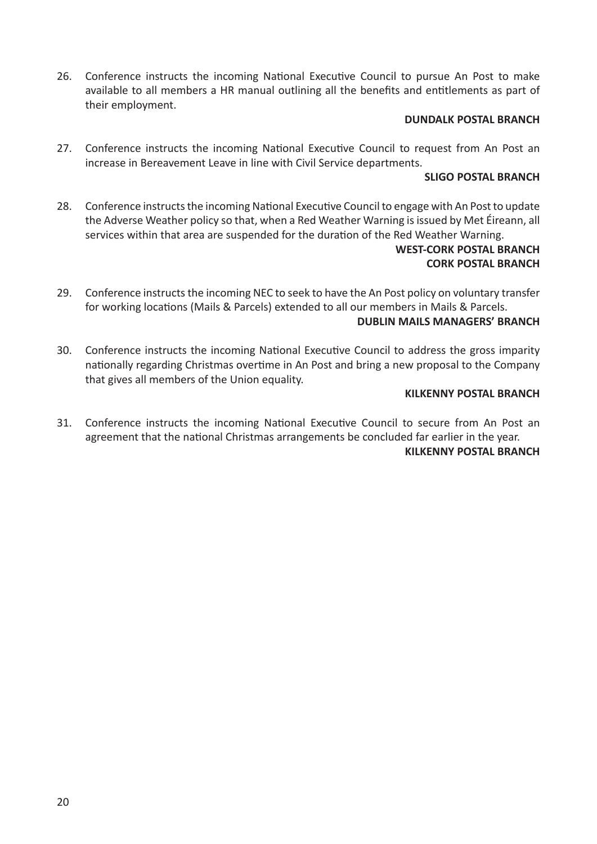26. Conference instructs the incoming National Executive Council to pursue An Post to make available to all members a HR manual outlining all the benefits and entitlements as part of their employment.

### **DUNDALK POSTAL BRANCH**

27. Conference instructs the incoming National Executive Council to request from An Post an increase in Bereavement Leave in line with Civil Service departments.

### **SLIGO POSTAL BRANCH**

28. Conference instructs the incoming National Executive Council to engage with An Post to update the Adverse Weather policy so that, when a Red Weather Warning is issued by Met Éireann, all services within that area are suspended for the duration of the Red Weather Warning.

### **WEST-CORK POSTAL BRANCH CORK POSTAL BRANCH**

29. Conference instructs the incoming NEC to seek to have the An Post policy on voluntary transfer for working locations (Mails & Parcels) extended to all our members in Mails & Parcels.

### **DUBLIN MAILS MANAGERS' BRANCH**

30. Conference instructs the incoming National Executive Council to address the gross imparity nationally regarding Christmas overtime in An Post and bring a new proposal to the Company that gives all members of the Union equality.

### **KILKENNY POSTAL BRANCH**

31. Conference instructs the incoming National Executive Council to secure from An Post an agreement that the national Christmas arrangements be concluded far earlier in the year. **KILKENNY POSTAL BRANCH**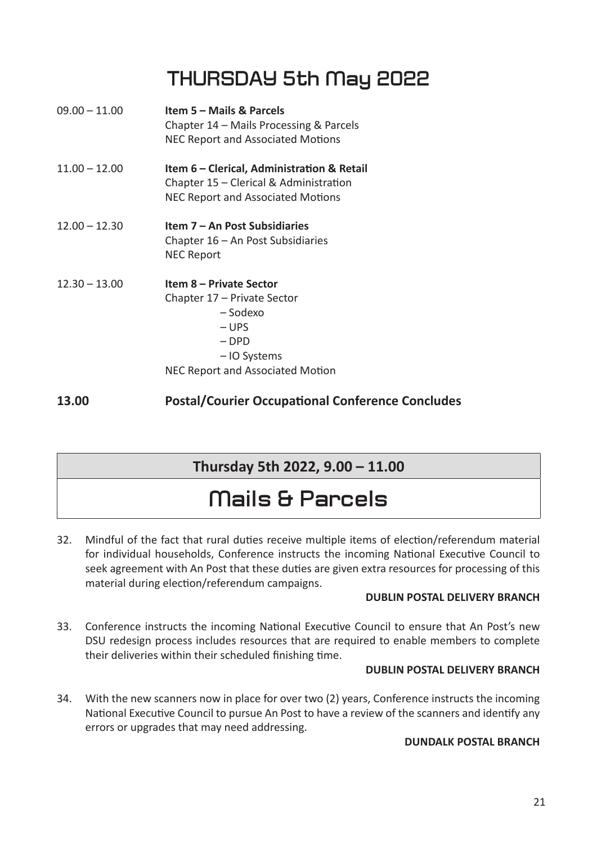# **THURSDAY 5th May 2022**

| $09.00 - 11.00$ | <b>Item 5 – Mails &amp; Parcels</b><br>Chapter 14 – Mails Processing & Parcels<br>NEC Report and Associated Motions                       |
|-----------------|-------------------------------------------------------------------------------------------------------------------------------------------|
| $11.00 - 12.00$ | Item 6 – Clerical, Administration & Retail<br>Chapter 15 - Clerical & Administration<br>NEC Report and Associated Motions                 |
| $12.00 - 12.30$ | Item 7 – An Post Subsidiaries<br>Chapter $16 - An$ Post Subsidiaries<br><b>NEC Report</b>                                                 |
| $12.30 - 13.00$ | Item 8 – Private Sector<br>Chapter 17 – Private Sector<br>– Sodexo<br>– UPS<br>$-DPD$<br>– IO Systems<br>NEC Report and Associated Motion |

**13.00 Postal/Courier Occupational Conference Concludes** 

### **Thursday 5th 2022, 9.00 – 11.00**

# **Mails & Parcels**

32. Mindful of the fact that rural duties receive multiple items of election/referendum material for individual households, Conference instructs the incoming National Executive Council to seek agreement with An Post that these duties are given extra resources for processing of this material during election/referendum campaigns.

### **DUBLIN POSTAL DELIVERY BRANCH**

33. Conference instructs the incoming National Executive Council to ensure that An Post's new DSU redesign process includes resources that are required to enable members to complete their deliveries within their scheduled finishing time.

### **DUBLIN POSTAL DELIVERY BRANCH**

34. With the new scanners now in place for over two (2) years, Conference instructs the incoming National Executive Council to pursue An Post to have a review of the scanners and identify any errors or upgrades that may need addressing.

### **DUNDALK POSTAL BRANCH**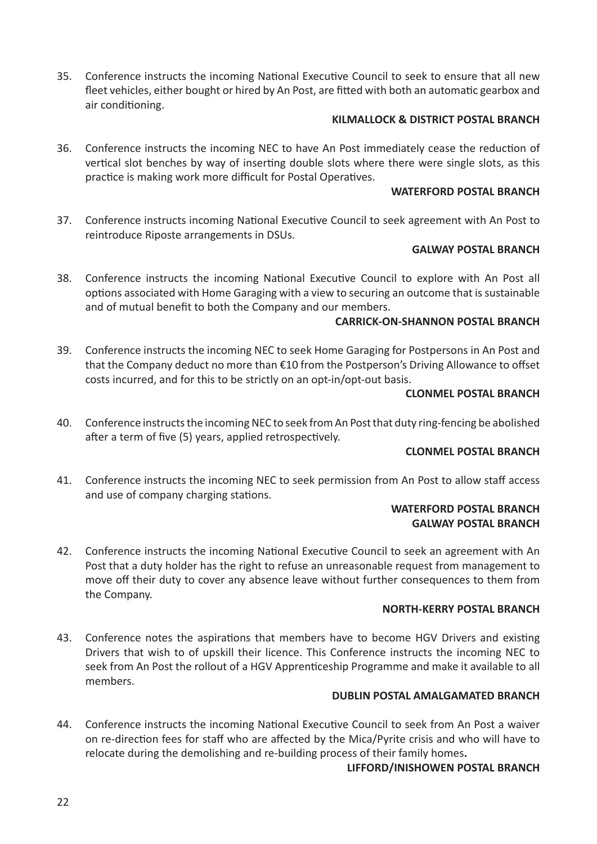35. Conference instructs the incoming National Executive Council to seek to ensure that all new fleet vehicles, either bought or hired by An Post, are fitted with both an automatic gearbox and air conditioning.

### **KILMALLOCK & DISTRICT POSTAL BRANCH**

36. Conference instructs the incoming NEC to have An Post immediately cease the reduction of vertical slot benches by way of inserting double slots where there were single slots, as this practice is making work more difficult for Postal Operatives.

### **WATERFORD POSTAL BRANCH**

37. Conference instructs incoming National Executive Council to seek agreement with An Post to reintroduce Riposte arrangements in DSUs.

### **GALWAY POSTAL BRANCH**

38. Conference instructs the incoming National Executive Council to explore with An Post all options associated with Home Garaging with a view to securing an outcome that is sustainable and of mutual benefit to both the Company and our members.

### **CARRICK-ON-SHANNON POSTAL BRANCH**

39. Conference instructs the incoming NEC to seek Home Garaging for Postpersons in An Post and that the Company deduct no more than €10 from the Postperson's Driving Allowance to offset costs incurred, and for this to be strictly on an opt-in/opt-out basis.

### **CLONMEL POSTAL BRANCH**

40. Conference instructs the incoming NEC to seek from An Post that duty ring-fencing be abolished after a term of five (5) years, applied retrospectively.

### **CLONMEL POSTAL BRANCH**

41. Conference instructs the incoming NEC to seek permission from An Post to allow staff access and use of company charging stations.

### **WATERFORD POSTAL BRANCH GALWAY POSTAL BRANCH**

42. Conference instructs the incoming National Executive Council to seek an agreement with An Post that a duty holder has the right to refuse an unreasonable request from management to move off their duty to cover any absence leave without further consequences to them from the Company.

### **NORTH-KERRY POSTAL BRANCH**

43. Conference notes the aspirations that members have to become HGV Drivers and existing Drivers that wish to of upskill their licence. This Conference instructs the incoming NEC to seek from An Post the rollout of a HGV Apprenticeship Programme and make it available to all members.

### **DUBLIN POSTAL AMALGAMATED BRANCH**

44. Conference instructs the incoming National Executive Council to seek from An Post a waiver on re-direction fees for staff who are affected by the Mica/Pyrite crisis and who will have to relocate during the demolishing and re-building process of their family homes**.**

### **LIFFORD/INISHOWEN POSTAL BRANCH**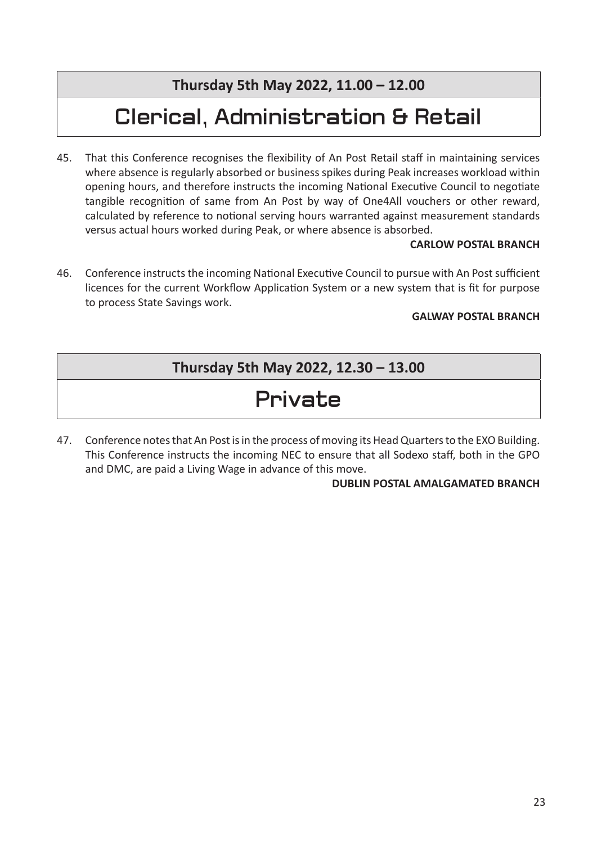**Thursday 5th May 2022, 11.00 – 12.00**

# **Clerical, Administration & Retail**

45. That this Conference recognises the flexibility of An Post Retail staff in maintaining services where absence is regularly absorbed or business spikes during Peak increases workload within opening hours, and therefore instructs the incoming National Executive Council to negotiate tangible recognition of same from An Post by way of One4All vouchers or other reward, calculated by reference to notional serving hours warranted against measurement standards versus actual hours worked during Peak, or where absence is absorbed.

### **CARLOW POSTAL BRANCH**

46. Conference instructs the incoming National Executive Council to pursue with An Post sufficient licences for the current Workflow Application System or a new system that is fit for purpose to process State Savings work.

### **GALWAY POSTAL BRANCH**

## **Thursday 5th May 2022, 12.30 – 13.00**

# **Private**

47. Conference notes that An Post is in the process of moving its Head Quarters to the EXO Building. This Conference instructs the incoming NEC to ensure that all Sodexo staff, both in the GPO and DMC, are paid a Living Wage in advance of this move.

### **DUBLIN POSTAL AMALGAMATED BRANCH**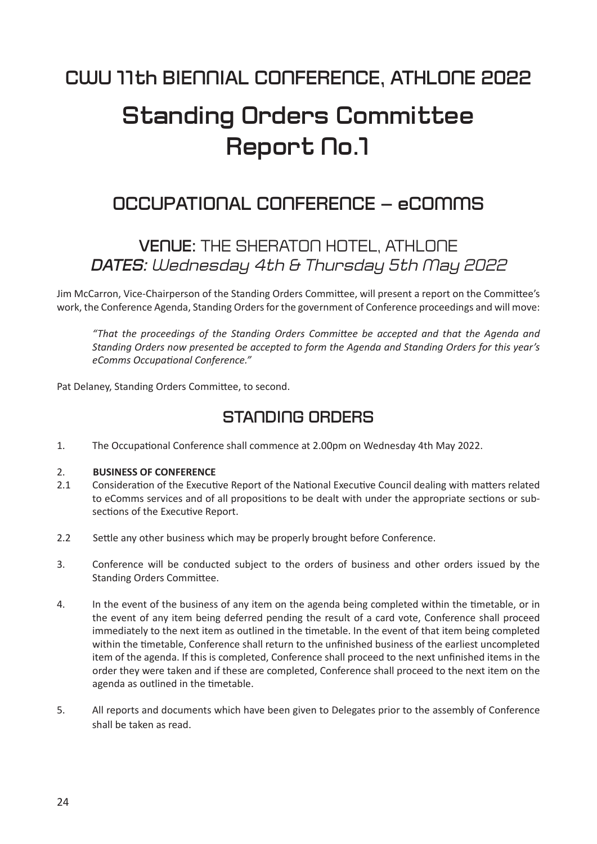# **Standing Orders Committee Report No.1**

## **OCCUPATIONAL CONFERENCE – eCOMMS**

## **VENUE:** THE SHERATON HOTEL, ATHLONE *DATES: Wednesday 4th & Thursday 5th May 2022*

Jim McCarron, Vice-Chairperson of the Standing Orders Committee, will present a report on the Committee's work, the Conference Agenda, Standing Orders for the government of Conference proceedings and will move:

 *"That the proceedings of the Standing Orders CommiƩ ee be accepted and that the Agenda and Standing Orders now presented be accepted to form the Agenda and Standing Orders for this year's eComms OccupaƟ onal Conference."*

Pat Delaney, Standing Orders Committee, to second.

## **STANDING ORDERS**

1. The Occupational Conference shall commence at 2.00pm on Wednesday 4th May 2022.

### 2. **BUSINESS OF CONFERENCE**

- 2.1 Consideration of the Executive Report of the National Executive Council dealing with matters related to eComms services and of all propositions to be dealt with under the appropriate sections or subsections of the Executive Report.
- 2.2 Settle any other business which may be properly brought before Conference.
- 3. Conference will be conducted subject to the orders of business and other orders issued by the Standing Orders Committee.
- 4. In the event of the business of any item on the agenda being completed within the timetable, or in the event of any item being deferred pending the result of a card vote, Conference shall proceed immediately to the next item as outlined in the timetable. In the event of that item being completed within the timetable, Conference shall return to the unfinished business of the earliest uncompleted item of the agenda. If this is completed, Conference shall proceed to the next unfinished items in the order they were taken and if these are completed, Conference shall proceed to the next item on the agenda as outlined in the timetable.
- 5. All reports and documents which have been given to Delegates prior to the assembly of Conference shall be taken as read.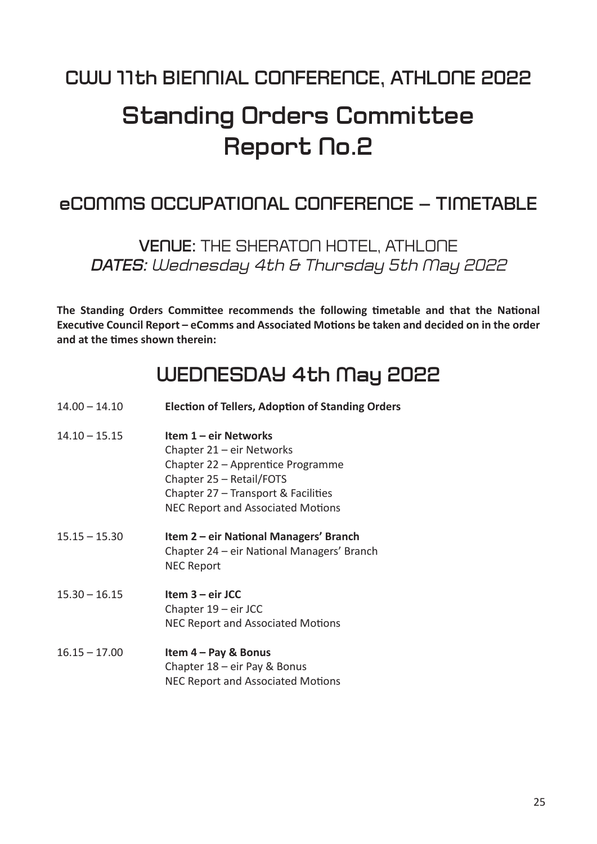# **Standing Orders Committee Report No.2**

## **eCOMMS OCCUPATIONAL CONFERENCE – TIMETABLE**

**VENUE:** THE SHERATON HOTEL, ATHLONE *DATES: Wednesday 4th & Thursday 5th May 2022*

**The Standing Orders Committee recommends the following timetable and that the National** Executive Council Report – eComms and Associated Motions be taken and decided on in the order **and at the Ɵ mes shown therein:**

## **WEDNESDAY 4th May 2022**

- 14.00 14.10 **ElecƟ on of Tellers, AdopƟ on of Standing Orders**
- 14.10 15.15 **Item 1 eir Networks** Chapter 21 – eir Networks Chapter 22 – Apprentice Programme Chapter 25 – Retail/FOTS Chapter  $27$  – Transport & Facilities NEC Report and Associated Motions
- 15.15 15.30 **Item 2 eir NaƟ onal Managers' Branch** Chapter 24 – eir National Managers' Branch NEC Report
- 15.30 16.15 **Item 3 eir JCC** Chapter 19 – eir JCC NEC Report and Associated Motions
- 16.15 17.00 **Item 4 Pay & Bonus** Chapter 18 – eir Pay & Bonus **NEC Report and Associated Motions**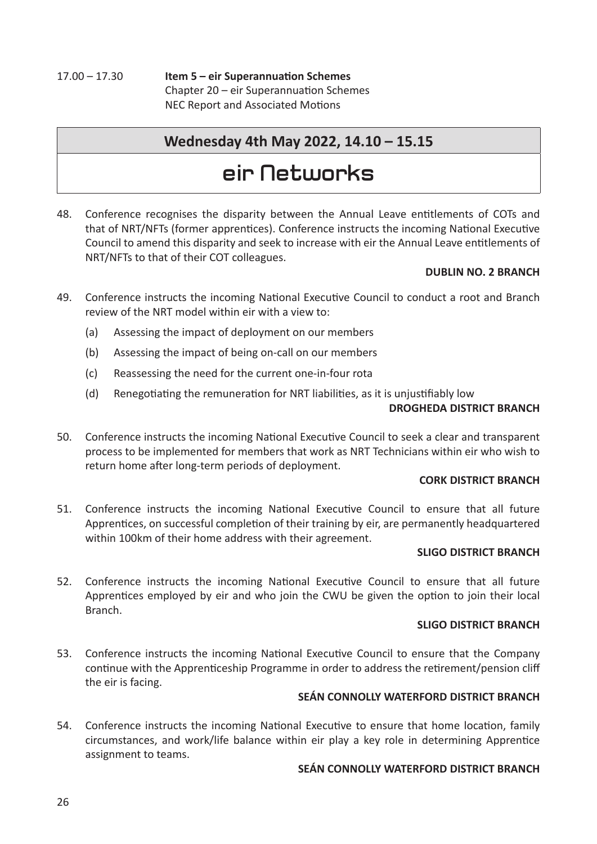17.00 – 17.30 **Item 5 – eir Superannuation Schemes** Chapter  $20$  – eir Superannuation Schemes NEC Report and Associated Motions

### **Wednesday 4th May 2022, 14.10 – 15.15**

# **eir Networks**

48. Conference recognises the disparity between the Annual Leave entitlements of COTs and that of NRT/NFTs (former apprentices). Conference instructs the incoming National Executive Council to amend this disparity and seek to increase with eir the Annual Leave entitlements of NRT/NFTs to that of their COT colleagues.

### **DUBLIN NO. 2 BRANCH**

- 49. Conference instructs the incoming National Executive Council to conduct a root and Branch review of the NRT model within eir with a view to:
	- (a) Assessing the impact of deployment on our members
	- (b) Assessing the impact of being on-call on our members
	- (c) Reassessing the need for the current one-in-four rota
	- (d) Renegotiating the remuneration for NRT liabilities, as it is unjustifiably low

### **DROGHEDA DISTRICT BRANCH**

50. Conference instructs the incoming National Executive Council to seek a clear and transparent process to be implemented for members that work as NRT Technicians within eir who wish to return home after long-term periods of deployment.

### **CORK DISTRICT BRANCH**

51. Conference instructs the incoming National Executive Council to ensure that all future Apprentices, on successful completion of their training by eir, are permanently headquartered within 100km of their home address with their agreement.

### **SLIGO DISTRICT BRANCH**

52. Conference instructs the incoming National Executive Council to ensure that all future Apprentices employed by eir and who join the CWU be given the option to join their local Branch.

### **SLIGO DISTRICT BRANCH**

53. Conference instructs the incoming National Executive Council to ensure that the Company continue with the Apprenticeship Programme in order to address the retirement/pension cliff the eir is facing.

### **SEÁN CONNOLLY WATERFORD DISTRICT BRANCH**

54. Conference instructs the incoming National Executive to ensure that home location, family circumstances, and work/life balance within eir play a key role in determining Apprentice assignment to teams.

### **SEÁN CONNOLLY WATERFORD DISTRICT BRANCH**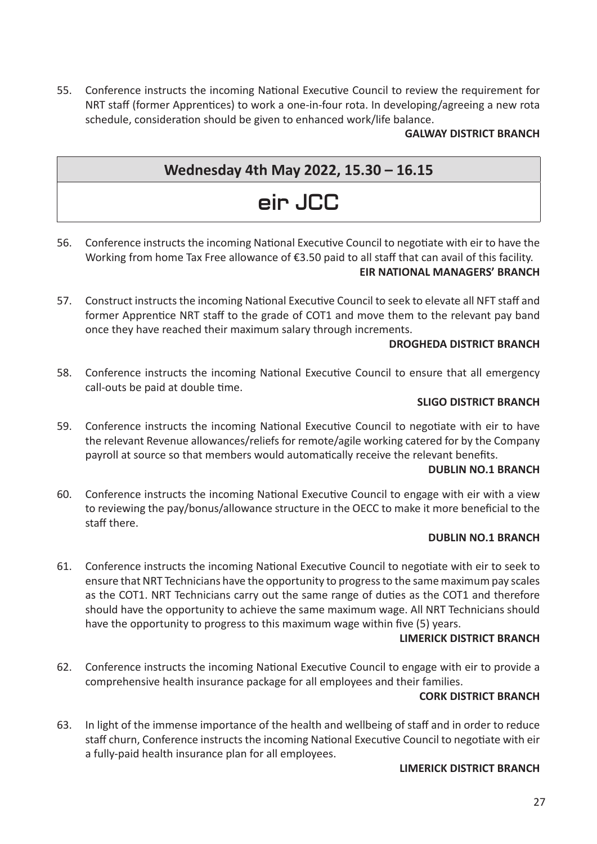55. Conference instructs the incoming National Executive Council to review the requirement for NRT staff (former Apprentices) to work a one-in-four rota. In developing/agreeing a new rota schedule, consideration should be given to enhanced work/life balance.

### **GALWAY DISTRICT BRANCH**

## **Wednesday 4th May 2022, 15.30 – 16.15**

# **eir JCC**

56. Conference instructs the incoming National Executive Council to negotiate with eir to have the Working from home Tax Free allowance of €3.50 paid to all staff that can avail of this facility. **EIR NATIONAL MANAGERS' BRANCH**

### 57. Construct instructs the incoming National Executive Council to seek to elevate all NFT staff and former Apprentice NRT staff to the grade of COT1 and move them to the relevant pay band

#### once they have reached their maximum salary through increments. **DROGHEDA DISTRICT BRANCH**

58. Conference instructs the incoming National Executive Council to ensure that all emergency call-outs be paid at double time.

### **SLIGO DISTRICT BRANCH**

59. Conference instructs the incoming National Executive Council to negotiate with eir to have the relevant Revenue allowances/reliefs for remote/agile working catered for by the Company payroll at source so that members would automatically receive the relevant benefits.

### **DUBLIN NO.1 BRANCH**

60. Conference instructs the incoming National Executive Council to engage with eir with a view to reviewing the pay/bonus/allowance structure in the OECC to make it more beneficial to the staff there.

#### **DUBLIN NO.1 BRANCH**

61. Conference instructs the incoming National Executive Council to negotiate with eir to seek to ensure that NRT Technicians have the opportunity to progress to the same maximum pay scales as the COT1. NRT Technicians carry out the same range of duties as the COT1 and therefore should have the opportunity to achieve the same maximum wage. All NRT Technicians should have the opportunity to progress to this maximum wage within five (5) years.

#### **LIMERICK DISTRICT BRANCH**

62. Conference instructs the incoming National Executive Council to engage with eir to provide a comprehensive health insurance package for all employees and their families.

#### **CORK DISTRICT BRANCH**

63. In light of the immense importance of the health and wellbeing of staff and in order to reduce staff churn, Conference instructs the incoming National Executive Council to negotiate with eir a fully-paid health insurance plan for all employees.

#### **LIMERICK DISTRICT BRANCH**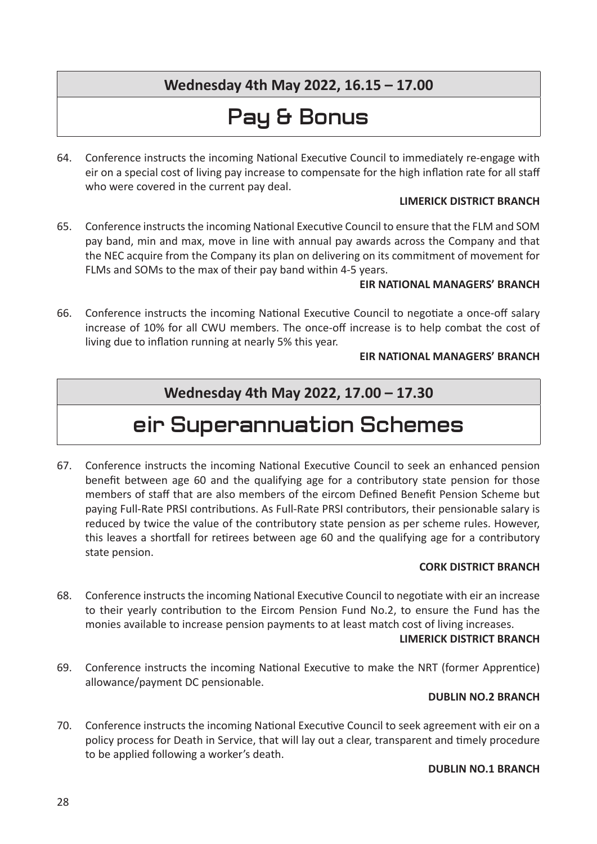## **Wednesday 4th May 2022, 16.15 – 17.00**

# **Pay & Bonus**

64. Conference instructs the incoming National Executive Council to immediately re-engage with eir on a special cost of living pay increase to compensate for the high inflation rate for all staff who were covered in the current pay deal.

### **LIMERICK DISTRICT BRANCH**

65. Conference instructs the incoming National Executive Council to ensure that the FLM and SOM pay band, min and max, move in line with annual pay awards across the Company and that the NEC acquire from the Company its plan on delivering on its commitment of movement for FLMs and SOMs to the max of their pay band within 4-5 years.

### **EIR NATIONAL MANAGERS' BRANCH**

66. Conference instructs the incoming National Executive Council to negotiate a once-off salary increase of 10% for all CWU members. The once-off increase is to help combat the cost of living due to inflation running at nearly 5% this year.

### **EIR NATIONAL MANAGERS' BRANCH**

### **Wednesday 4th May 2022, 17.00 – 17.30**

# **eir Superannuation Schemes**

67. Conference instructs the incoming National Executive Council to seek an enhanced pension benefit between age 60 and the qualifying age for a contributory state pension for those members of staff that are also members of the eircom Defined Benefit Pension Scheme but paying Full-Rate PRSI contributions. As Full-Rate PRSI contributors, their pensionable salary is reduced by twice the value of the contributory state pension as per scheme rules. However, this leaves a shortfall for retirees between age 60 and the qualifying age for a contributory state pension.

### **CORK DISTRICT BRANCH**

68. Conference instructs the incoming National Executive Council to negotiate with eir an increase to their yearly contribution to the Eircom Pension Fund No.2, to ensure the Fund has the monies available to increase pension payments to at least match cost of living increases.

#### **LIMERICK DISTRICT BRANCH**

69. Conference instructs the incoming National Executive to make the NRT (former Apprentice) allowance/payment DC pensionable.

### **DUBLIN NO.2 BRANCH**

70. Conference instructs the incoming National Executive Council to seek agreement with eir on a policy process for Death in Service, that will lay out a clear, transparent and timely procedure to be applied following a worker's death.

### **DUBLIN NO.1 BRANCH**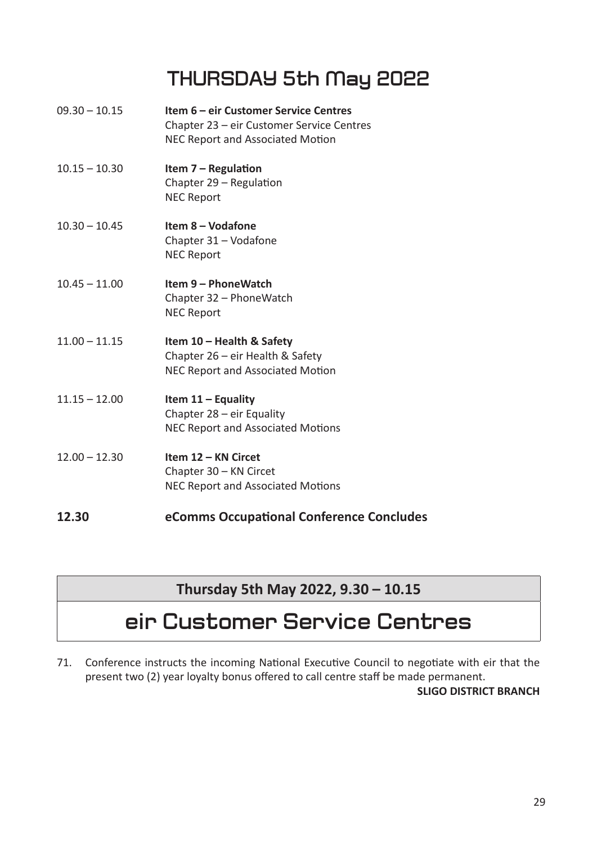# **THURSDAY 5th May 2022**

- 09.30 10.15 **Item 6 eir Customer Service Centres** Chapter 23 – eir Customer Service Centres NEC Report and Associated Motion
- 10.15 10.30 **Item 7 Regulation** Chapter  $29$  – Regulation NEC Report
- 10.30 10.45 **Item 8 Vodafone** Chapter 31 – Vodafone NEC Report
- 10.45 11.00 **Item 9 PhoneWatch** Chapter 32 – PhoneWatch NEC Report
- 11.00 11.15 **Item 10 Health & Safety** Chapter 26 – eir Health & Safety NEC Report and Associated Motion
- 11.15 12.00 **Item 11 Equality** Chapter 28 – eir Equality NEC Report and Associated Motions
- 12.00 12.30 **Item 12 KN Circet** Chapter 30 – KN Circet NEC Report and Associated Motions
- **12.30 eComms Occupational Conference Concludes**

## **Thursday 5th May 2022, 9.30 – 10.15**

## **eir Customer Service Centres**

71. Conference instructs the incoming National Executive Council to negotiate with eir that the present two (2) year loyalty bonus offered to call centre staff be made permanent.

### **SLIGO DISTRICT BRANCH**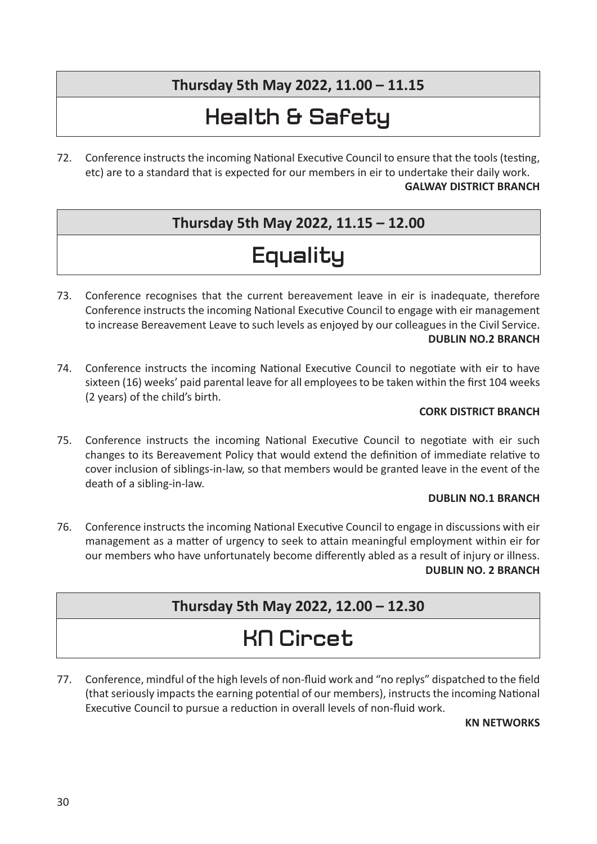## **Thursday 5th May 2022, 11.00 – 11.15**

# **Health & Safety**

72. Conference instructs the incoming National Executive Council to ensure that the tools (testing, etc) are to a standard that is expected for our members in eir to undertake their daily work.

### **GALWAY DISTRICT BRANCH**

## **Thursday 5th May 2022, 11.15 – 12.00**

# **Equality**

- 73. Conference recognises that the current bereavement leave in eir is inadequate, therefore Conference instructs the incoming National Executive Council to engage with eir management to increase Bereavement Leave to such levels as enjoyed by our colleagues in the Civil Service. **DUBLIN NO.2 BRANCH**
- 74. Conference instructs the incoming National Executive Council to negotiate with eir to have sixteen (16) weeks' paid parental leave for all employees to be taken within the first 104 weeks (2 years) of the child's birth.

### **CORK DISTRICT BRANCH**

75. Conference instructs the incoming National Executive Council to negotiate with eir such changes to its Bereavement Policy that would extend the definition of immediate relative to cover inclusion of siblings-in-law, so that members would be granted leave in the event of the death of a sibling-in-law.

### **DUBLIN NO.1 BRANCH**

76. Conference instructs the incoming National Executive Council to engage in discussions with eir management as a matter of urgency to seek to attain meaningful employment within eir for our members who have unfortunately become differently abled as a result of injury or illness. **DUBLIN NO. 2 BRANCH**

### **Thursday 5th May 2022, 12.00 – 12.30**

# **KN Circet**

77. Conference, mindful of the high levels of non-fluid work and "no replys" dispatched to the field (that seriously impacts the earning potential of our members), instructs the incoming National Executive Council to pursue a reduction in overall levels of non-fluid work.

### **KN NETWORKS**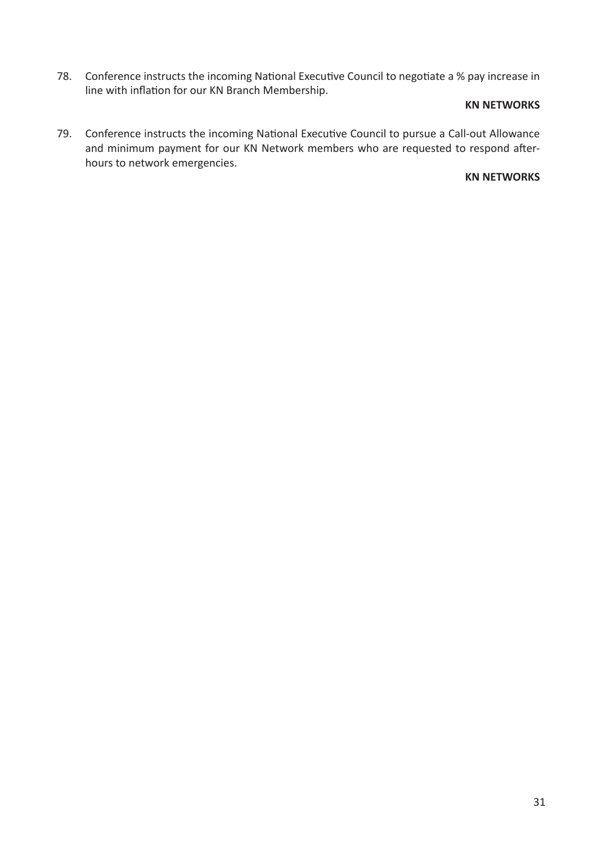78. Conference instructs the incoming National Executive Council to negotiate a % pay increase in line with inflation for our KN Branch Membership.

### **KN NETWORKS**

79. Conference instructs the incoming National Executive Council to pursue a Call-out Allowance and minimum payment for our KN Network members who are requested to respond afterhours to network emergencies.

### **KN NETWORKS**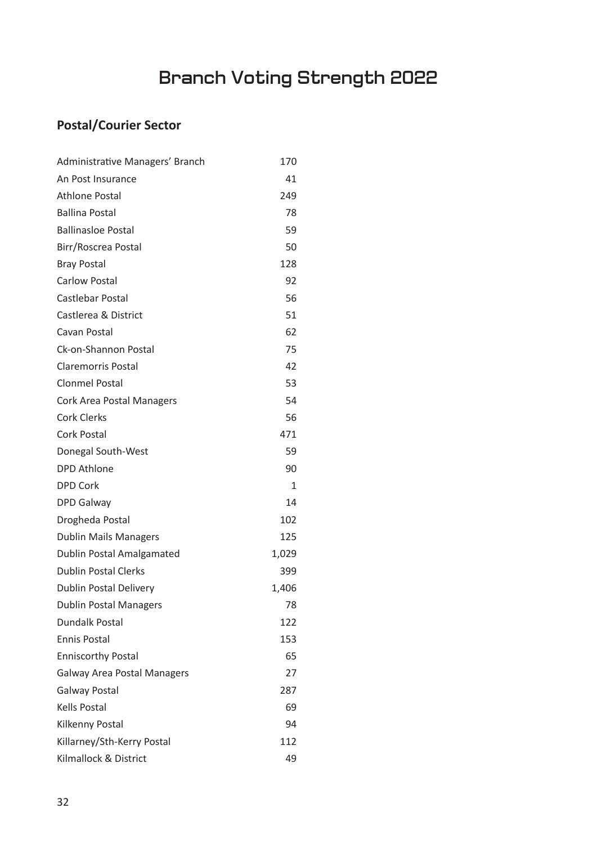# **Branch Voting Strength 2022**

## **Postal/Courier Sector**

| Administrative Managers' Branch    | 170   |
|------------------------------------|-------|
| An Post Insurance                  | 41    |
| <b>Athlone Postal</b>              | 249   |
| <b>Ballina Postal</b>              | 78    |
| <b>Ballinasloe Postal</b>          | 59    |
| Birr/Roscrea Postal                | 50    |
| <b>Bray Postal</b>                 | 128   |
| <b>Carlow Postal</b>               | 92    |
| Castlebar Postal                   | 56    |
| Castlerea & District               | 51    |
| Cavan Postal                       | 62    |
| Ck-on-Shannon Postal               | 75    |
| <b>Claremorris Postal</b>          | 42    |
| <b>Clonmel Postal</b>              | 53    |
| <b>Cork Area Postal Managers</b>   | 54    |
| <b>Cork Clerks</b>                 | 56    |
| <b>Cork Postal</b>                 | 471   |
| Donegal South-West                 | 59    |
| <b>DPD Athlone</b>                 | 90    |
| <b>DPD Cork</b>                    | 1     |
| <b>DPD Galway</b>                  | 14    |
| Drogheda Postal                    | 102   |
| <b>Dublin Mails Managers</b>       | 125   |
| Dublin Postal Amalgamated          | 1,029 |
| <b>Dublin Postal Clerks</b>        | 399   |
| <b>Dublin Postal Delivery</b>      | 1,406 |
| <b>Dublin Postal Managers</b>      | 78    |
| <b>Dundalk Postal</b>              | 122   |
| <b>Ennis Postal</b>                | 153   |
| <b>Enniscorthy Postal</b>          | 65    |
| <b>Galway Area Postal Managers</b> | 27    |
| <b>Galway Postal</b>               | 287   |
| <b>Kells Postal</b>                | 69    |
| Kilkenny Postal                    | 94    |
| Killarney/Sth-Kerry Postal         | 112   |
| Kilmallock & District              | 49    |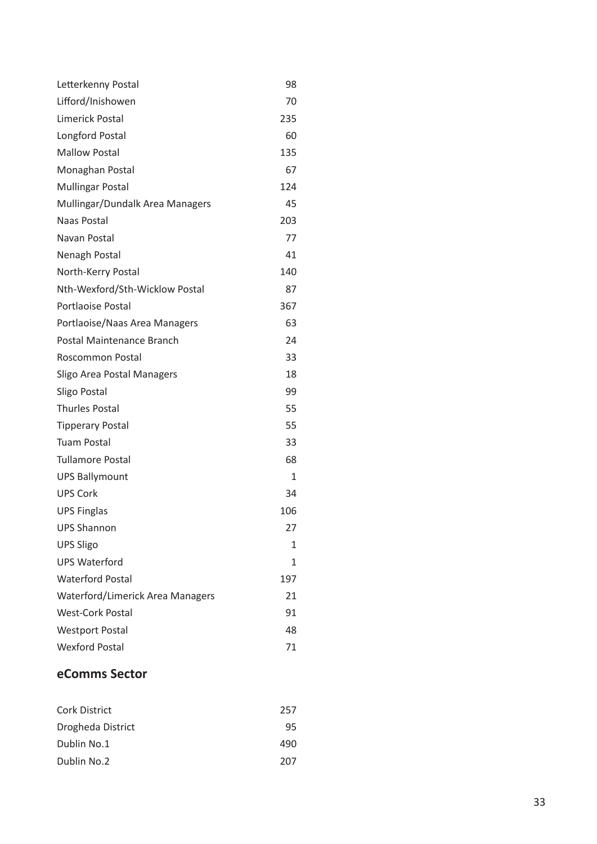| Letterkenny Postal               | 98           |
|----------------------------------|--------------|
| Lifford/Inishowen                | 70           |
| <b>Limerick Postal</b>           | 235          |
| <b>Longford Postal</b>           | 60           |
| <b>Mallow Postal</b>             | 135          |
| Monaghan Postal                  | 67           |
| <b>Mullingar Postal</b>          | 124          |
| Mullingar/Dundalk Area Managers  | 45           |
| Naas Postal                      | 203          |
| Navan Postal                     | 77           |
| Nenagh Postal                    | 41           |
| North-Kerry Postal               | 140          |
| Nth-Wexford/Sth-Wicklow Postal   | 87           |
| Portlaoise Postal                | 367          |
| Portlaoise/Naas Area Managers    | 63           |
| Postal Maintenance Branch        | 24           |
| Roscommon Postal                 | 33           |
| Sligo Area Postal Managers       | 18           |
| Sligo Postal                     | 99           |
| <b>Thurles Postal</b>            | 55           |
| <b>Tipperary Postal</b>          | 55           |
| <b>Tuam Postal</b>               | 33           |
| <b>Tullamore Postal</b>          | 68           |
| <b>UPS Ballymount</b>            | $\mathbf{1}$ |
| <b>UPS Cork</b>                  | 34           |
| <b>UPS Finglas</b>               | 106          |
| <b>UPS Shannon</b>               | 27           |
| <b>UPS Sligo</b>                 | 1            |
| <b>UPS Waterford</b>             | 1            |
| <b>Waterford Postal</b>          | 197          |
| Waterford/Limerick Area Managers | 21           |
| <b>West-Cork Postal</b>          | 91           |
| <b>Westport Postal</b>           | 48           |
| <b>Wexford Postal</b>            | 71           |

### **eComms Sector**

| <b>Cork District</b> | 257 |
|----------------------|-----|
| Drogheda District    | 95  |
| Dublin No.1          | 490 |
| Dublin No.2          | 207 |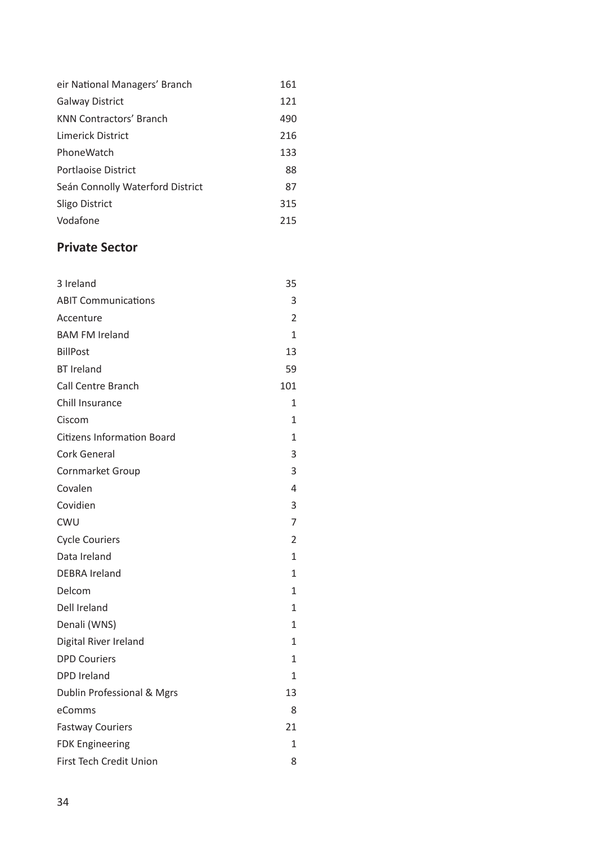| eir National Managers' Branch    | 161 |
|----------------------------------|-----|
| <b>Galway District</b>           | 121 |
| <b>KNN Contractors' Branch</b>   | 490 |
| Limerick District                | 216 |
| PhoneWatch                       | 133 |
| Portlaoise District              | 88  |
| Seán Connolly Waterford District | 87  |
| Sligo District                   | 315 |
| Vodafone                         | 215 |

### **Private Sector**

| 3 Ireland                         | 35             |
|-----------------------------------|----------------|
| <b>ABIT Communications</b>        | 3              |
| Accenture                         | 2              |
| <b>BAM FM Ireland</b>             | 1              |
| <b>BillPost</b>                   | 13             |
| <b>BT Ireland</b>                 | 59             |
| <b>Call Centre Branch</b>         | 101            |
| Chill Insurance                   | 1              |
| Ciscom                            | 1              |
| <b>Citizens Information Board</b> | 1              |
| <b>Cork General</b>               | 3              |
| Cornmarket Group                  | 3              |
| Covalen                           | 4              |
| Covidien                          | 3              |
| CWU                               | 7              |
| <b>Cycle Couriers</b>             | $\overline{c}$ |
| Data Ireland                      | 1              |
| <b>DEBRA Ireland</b>              | 1              |
| Delcom                            | $\overline{1}$ |
| Dell Ireland                      | 1              |
| Denali (WNS)                      | 1              |
| Digital River Ireland             | $\overline{1}$ |
| <b>DPD Couriers</b>               | 1              |
| <b>DPD</b> Ireland                | 1              |
| Dublin Professional & Mgrs        | 13             |
| eComms                            | 8              |
| <b>Fastway Couriers</b>           | 21             |
| <b>FDK Engineering</b>            | 1              |
| First Tech Credit Union           | 8              |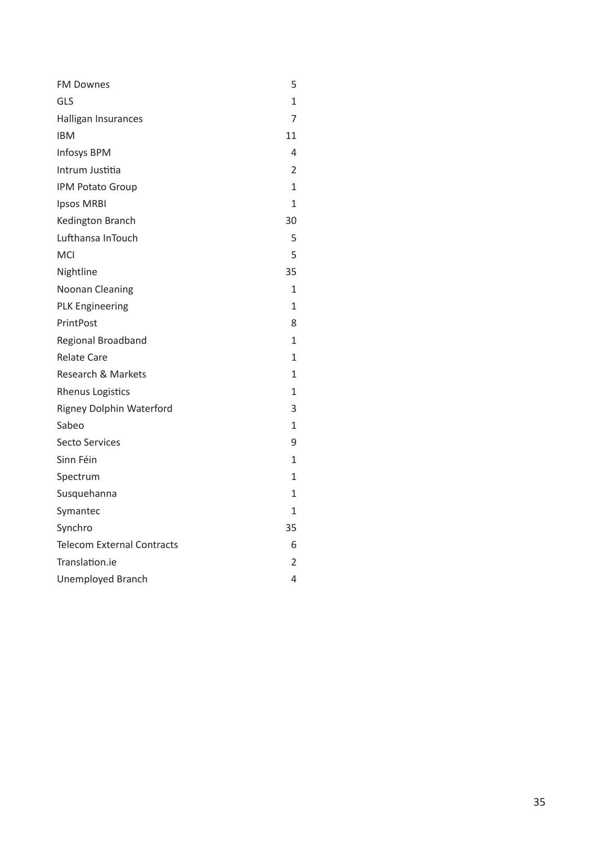| <b>FM Downes</b>                  | 5              |
|-----------------------------------|----------------|
| GLS                               | 1              |
| Halligan Insurances               | 7              |
| <b>IBM</b>                        | 11             |
| Infosys BPM                       | 4              |
| Intrum Justitia                   | $\overline{2}$ |
| IPM Potato Group                  | 1              |
| <b>Ipsos MRBI</b>                 | 1              |
| Kedington Branch                  | 30             |
| Lufthansa InTouch                 | 5              |
| MCI                               | 5              |
| Nightline                         | 35             |
| <b>Noonan Cleaning</b>            | 1              |
| <b>PLK Engineering</b>            | 1              |
| PrintPost                         | 8              |
| Regional Broadband                | 1              |
| <b>Relate Care</b>                | 1              |
| Research & Markets                | 1              |
| <b>Rhenus Logistics</b>           | $\mathbf{1}$   |
| <b>Rigney Dolphin Waterford</b>   | 3              |
| Sabeo                             | 1              |
| <b>Secto Services</b>             | 9              |
| Sinn Féin                         | 1              |
| Spectrum                          | 1              |
| Susquehanna                       | 1              |
| Symantec                          | 1              |
| Synchro                           | 35             |
| <b>Telecom External Contracts</b> | 6              |
| Translation.ie                    | 2              |
| <b>Unemployed Branch</b>          | 4              |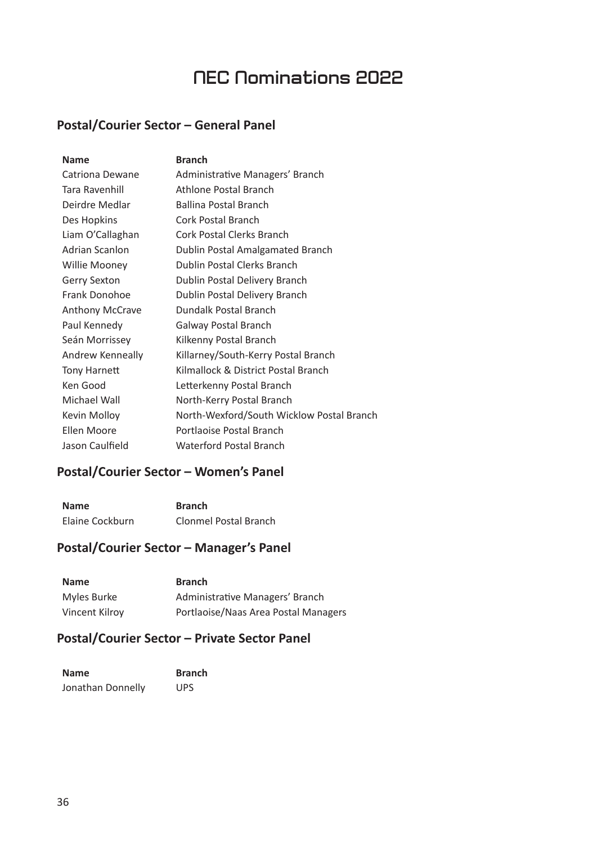## **NEC Nominations 2022**

### **Postal/Courier Sector – General Panel**

| <b>Name</b>            | <b>Branch</b>                             |
|------------------------|-------------------------------------------|
| Catriona Dewane        | Administrative Managers' Branch           |
| Tara Ravenhill         | Athlone Postal Branch                     |
| Deirdre Medlar         | <b>Ballina Postal Branch</b>              |
| Des Hopkins            | <b>Cork Postal Branch</b>                 |
| Liam O'Callaghan       | <b>Cork Postal Clerks Branch</b>          |
| <b>Adrian Scanlon</b>  | Dublin Postal Amalgamated Branch          |
| Willie Mooney          | <b>Dublin Postal Clerks Branch</b>        |
| <b>Gerry Sexton</b>    | Dublin Postal Delivery Branch             |
| Frank Donohoe          | Dublin Postal Delivery Branch             |
| <b>Anthony McCrave</b> | Dundalk Postal Branch                     |
| Paul Kennedy           | Galway Postal Branch                      |
| Seán Morrissey         | Kilkenny Postal Branch                    |
| Andrew Kenneally       | Killarney/South-Kerry Postal Branch       |
| Tony Harnett           | Kilmallock & District Postal Branch       |
| Ken Good               | Letterkenny Postal Branch                 |
| Michael Wall           | North-Kerry Postal Branch                 |
| Kevin Molloy           | North-Wexford/South Wicklow Postal Branch |
| Ellen Moore            | Portlaoise Postal Branch                  |
| Jason Caulfield        | Waterford Postal Branch                   |

### **Postal/Courier Sector – Women's Panel**

| <b>Name</b>     | <b>Branch</b>         |
|-----------------|-----------------------|
| Elaine Cockburn | Clonmel Postal Branch |

### **Postal/Courier Sector – Manager's Panel**

| <b>Name</b>    | <b>Branch</b>                        |
|----------------|--------------------------------------|
| Myles Burke    | Administrative Managers' Branch      |
| Vincent Kilroy | Portlaoise/Naas Area Postal Managers |

### **Postal/Courier Sector – Private Sector Panel**

| <b>Name</b>       | <b>Branch</b> |
|-------------------|---------------|
| Jonathan Donnelly | <b>UPS</b>    |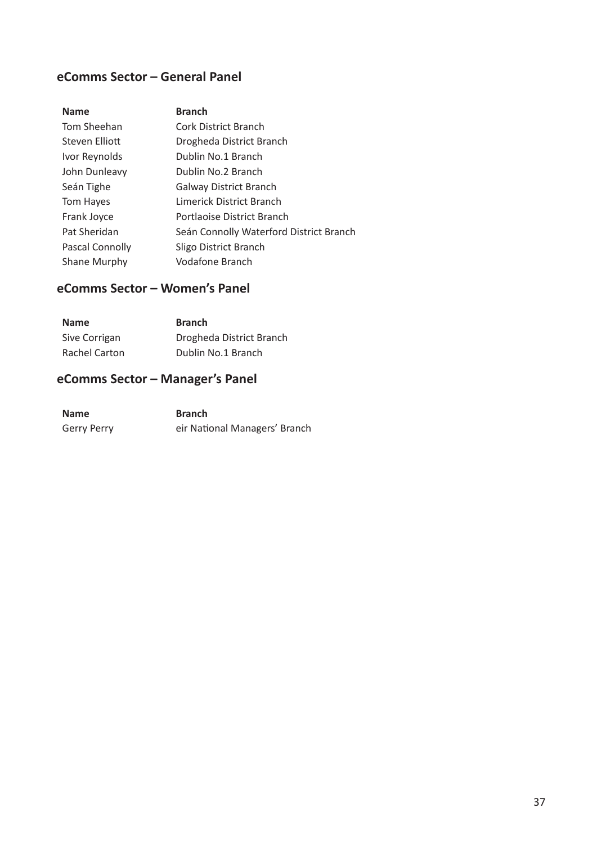### **eComms Sector – General Panel**

| <b>Name</b>         | <b>Branch</b>                           |
|---------------------|-----------------------------------------|
| Tom Sheehan         | <b>Cork District Branch</b>             |
| Steven Elliott      | Drogheda District Branch                |
| Ivor Reynolds       | Dublin No.1 Branch                      |
| John Dunleavy       | Dublin No.2 Branch                      |
| Seán Tighe          | <b>Galway District Branch</b>           |
| Tom Hayes           | Limerick District Branch                |
| Frank Joyce         | Portlaoise District Branch              |
| Pat Sheridan        | Seán Connolly Waterford District Branch |
| Pascal Connolly     | Sligo District Branch                   |
| <b>Shane Murphy</b> | Vodafone Branch                         |

### **eComms Sector – Women's Panel**

| <b>Name</b>   | <b>Branch</b>            |
|---------------|--------------------------|
| Sive Corrigan | Drogheda District Branch |
| Rachel Carton | Dublin No.1 Branch       |

### **eComms Sector – Manager's Panel**

| <b>Name</b> | <b>Branch</b>                 |
|-------------|-------------------------------|
| Gerry Perry | eir National Managers' Branch |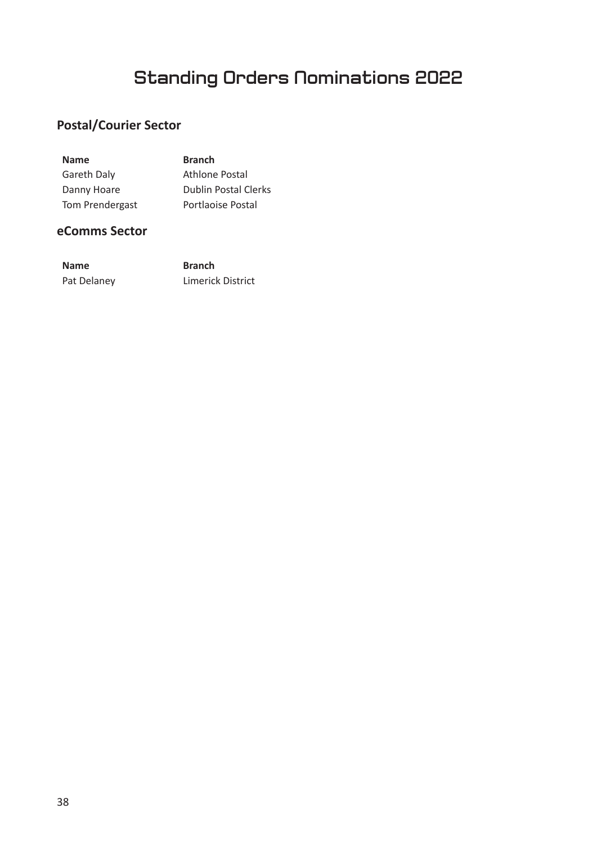## **Standing Orders Nominations 2022**

## **Postal/Courier Sector**

| <b>Name</b>        | <b>Branch</b>               |
|--------------------|-----------------------------|
| <b>Gareth Daly</b> | Athlone Postal              |
| Danny Hoare        | <b>Dublin Postal Clerks</b> |
| Tom Prendergast    | Portlaoise Postal           |

### **eComms Sector**

| <b>Name</b> | <b>Branch</b>            |
|-------------|--------------------------|
| Pat Delaney | <b>Limerick District</b> |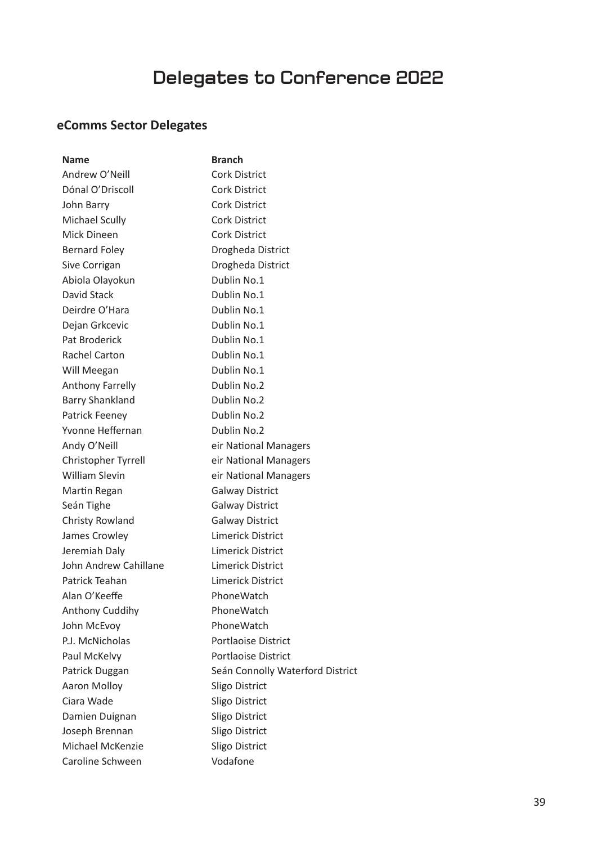# **Delegates to Conference 2022**

## **eComms Sector Delegates**

| <b>Name</b>             | <b>Branch</b>                    |
|-------------------------|----------------------------------|
| Andrew O'Neill          | <b>Cork District</b>             |
| Dónal O'Driscoll        | <b>Cork District</b>             |
| John Barry              | Cork District                    |
| <b>Michael Scully</b>   | <b>Cork District</b>             |
| Mick Dineen             | <b>Cork District</b>             |
| <b>Bernard Foley</b>    | Drogheda District                |
| Sive Corrigan           | Drogheda District                |
| Abiola Olayokun         | Dublin No.1                      |
| David Stack             | Dublin No.1                      |
| Deirdre O'Hara          | Dublin No.1                      |
| Dejan Grkcevic          | Dublin No.1                      |
| Pat Broderick           | Dublin No.1                      |
| <b>Rachel Carton</b>    | Dublin No.1                      |
| Will Meegan             | Dublin No.1                      |
| <b>Anthony Farrelly</b> | Dublin No.2                      |
| <b>Barry Shankland</b>  | Dublin No.2                      |
| Patrick Feeney          | Dublin No.2                      |
| Yvonne Heffernan        | Dublin No.2                      |
| Andy O'Neill            | eir National Managers            |
| Christopher Tyrrell     | eir National Managers            |
| <b>William Slevin</b>   | eir National Managers            |
| Martin Regan            | <b>Galway District</b>           |
| Seán Tighe              | <b>Galway District</b>           |
| Christy Rowland         | <b>Galway District</b>           |
| James Crowley           | Limerick District                |
| Jeremiah Daly           | Limerick District                |
| John Andrew Cahillane   | Limerick District                |
| Patrick Teahan          | Limerick District                |
| Alan O'Keeffe           | PhoneWatch                       |
| Anthony Cuddihy         | PhoneWatch                       |
| John McEvoy             | PhoneWatch                       |
| P.J. McNicholas         | Portlaoise District              |
| Paul McKelvy            | Portlaoise District              |
| Patrick Duggan          | Seán Connolly Waterford District |
| Aaron Molloy            | Sligo District                   |
| Ciara Wade              | Sligo District                   |
| Damien Duignan          | Sligo District                   |
| Joseph Brennan          | Sligo District                   |
| Michael McKenzie        | Sligo District                   |
| Caroline Schween        | Vodafone                         |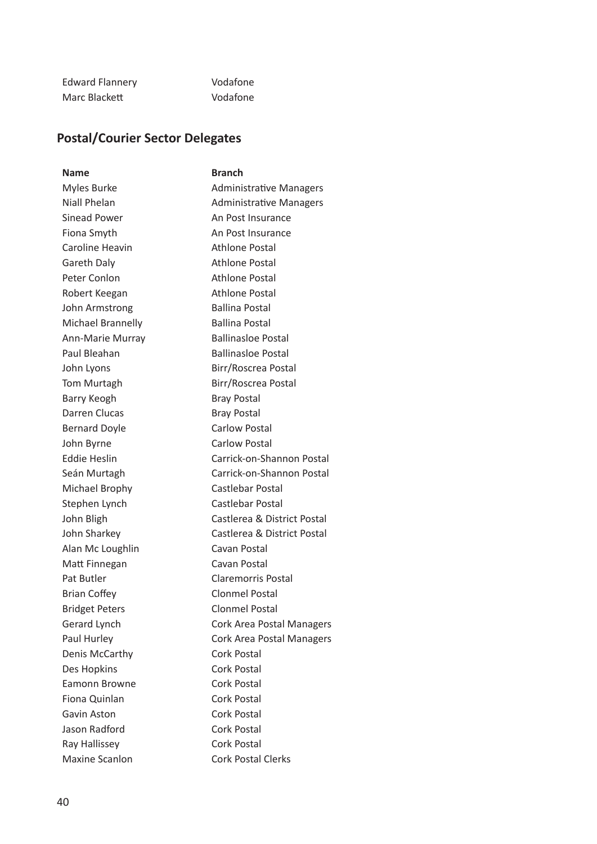| <b>Edward Flannery</b> | Vodafone |
|------------------------|----------|
| Marc Blackett          | Vodafone |

### **Postal/Courier Sector Delegates**

**Name** Branch Myles Burke **Administrative Managers** Niall Phelan **Administrative Managers** Sinead Power An Post Insurance Fiona Smyth An Post Insurance Caroline Heavin **Athlone Postal** Gareth Daly **Athlone Postal** Peter Conlon Athlone Postal Robert Keegan Athlone Postal John Armstrong Ballina Postal Michael Brannelly Ballina Postal Ann-Marie Murray Ballinasloe Postal Paul Bleahan Ballinasloe Postal John Lyons Birr/Roscrea Postal Tom Murtagh Birr/Roscrea Postal Barry Keogh Bray Postal Darren Clucas Bray Postal Bernard Doyle **Carlow Postal** John Byrne Carlow Postal Eddie Heslin Carrick-on-Shannon Postal Seán Murtagh Carrick-on-Shannon Postal Michael Brophy Castlebar Postal Stephen Lynch Castlebar Postal John Bligh Castlerea & District Postal John Sharkey Castlerea & District Postal Alan Mc Loughlin Cavan Postal Matt Finnegan Cavan Postal Pat Butler **Claremorris Postal** Brian Coffey **Clonmel Postal** Bridget Peters Clonmel Postal Gerard Lynch Cork Area Postal Managers Paul Hurley **Cork Area Postal Managers** Denis McCarthy Cork Postal Des Hopkins Cork Postal Eamonn Browne Cork Postal Fiona Quinlan Cork Postal Gavin Aston Cork Postal Jason Radford Cork Postal Ray Hallissey Cork Postal Maxine Scanlon Cork Postal Clerks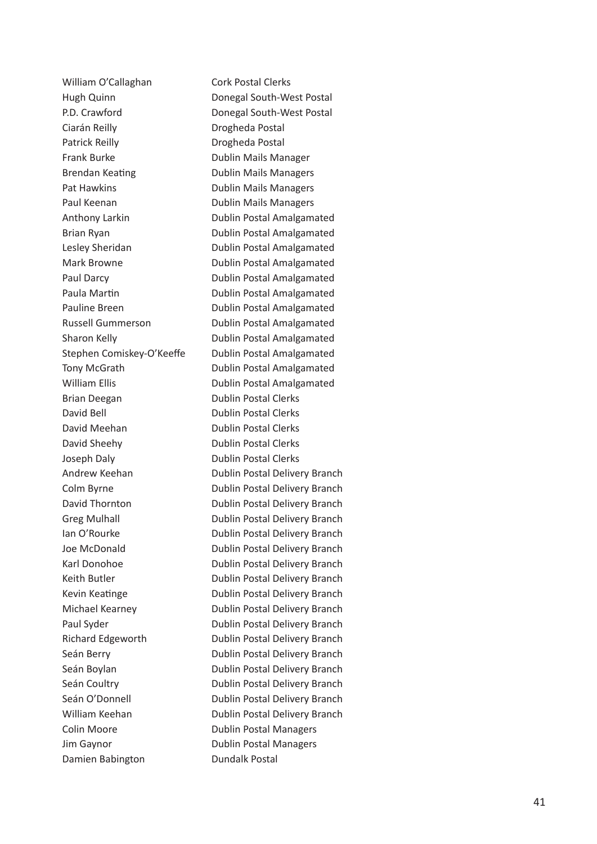William O'Callaghan Cork Postal Clerks Ciarán Reilly **Drogheda Postal** Patrick Reilly **Drogheda Postal** Frank Burke **Dublin Mails Manager** Brendan Keating **ng Dublin Mails Managers** Pat Hawkins **Dublin Mails Managers** Paul Keenan **Dublin Mails Managers** Brian Deegan Dublin Postal Clerks David Bell **David Bell** Dublin Postal Clerks David Meehan **Dublin Postal Clerks** David Sheehy Dublin Postal Clerks Joseph Daly **Dublin Postal Clerks** Colin Moore **Dublin Postal Managers** Jim Gaynor Dublin Postal Managers Damien Babington **Dundalk Postal** 

Hugh Quinn Donegal South-West Postal P.D. Crawford **Donegal South-West Postal** Anthony Larkin **Dublin Postal Amalgamated** Brian Ryan **Dublin Postal Amalgamated** Lesley Sheridan **Dublin Postal Amalgamated** Mark Browne **Dublin Postal Amalgamated** Paul Darcy **Dublin Postal Amalgamated** Paula Martin **n Dublin Postal Amalgamated** Pauline Breen Dublin Postal Amalgamated Russell Gummerson Dublin Postal Amalgamated Sharon Kelly **Dublin Postal Amalgamated** Stephen Comiskey-O'Keeffe Dublin Postal Amalgamated Tony McGrath Dublin Postal Amalgamated William Ellis **Dublin Postal Amalgamated** Andrew Keehan Dublin Postal Delivery Branch Colm Byrne **Dublin Postal Delivery Branch** David Thornton **Dublin Postal Delivery Branch** Greg Mulhall **Dublin Postal Delivery Branch** Ian O'Rourke **Dublin Postal Delivery Branch** Joe McDonald **Dublin Postal Delivery Branch** Karl Donohoe Dublin Postal Delivery Branch Keith Butler **Dublin Postal Delivery Branch** Kevin Keatinge **name is a name of Dublin Postal Delivery Branch** Michael Kearney Dublin Postal Delivery Branch Paul Syder **Dublin Postal Delivery Branch** Richard Edgeworth Dublin Postal Delivery Branch Seán Berry **Dublin Postal Delivery Branch** Seán Boylan **Dublin Postal Delivery Branch** Seán Coultry **Dublin Postal Delivery Branch** Seán O'Donnell **Dublin Postal Delivery Branch** William Keehan **Dublin Postal Delivery Branch**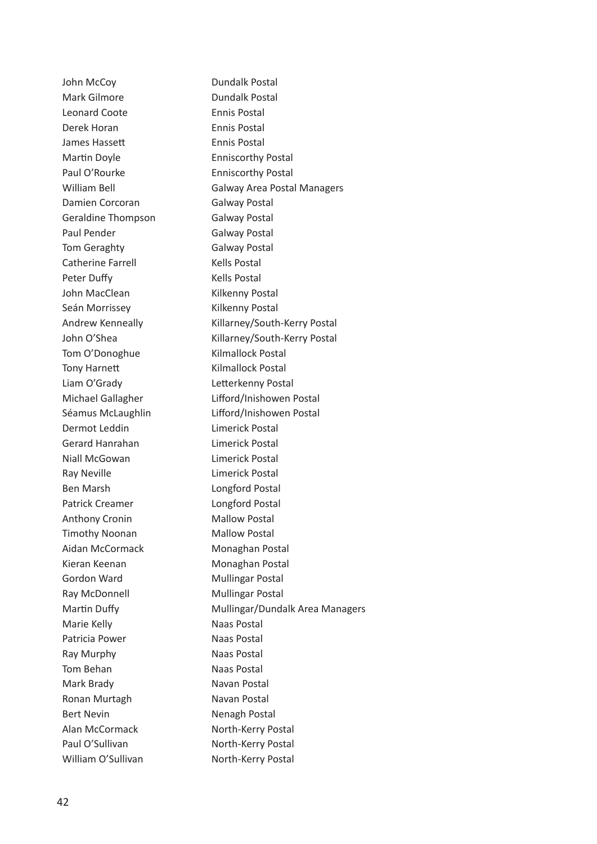John McCoy Dundalk Postal Mark Gilmore **Dundalk Postal** Leonard Coote **Ennis Postal** Derek Horan **Ennis Postal** James Hassett **Ennis Postal** Martin Doyle **Enniscorthy Postal** Paul O'Rourke **Enniscorthy Postal** William Bell **Galway Area Postal Managers** Damien Corcoran Galway Postal Geraldine Thompson Galway Postal Paul Pender Galway Postal Tom Geraghty **Galway Postal** Catherine Farrell Kells Postal Peter Duffy **Example 20 You Frankly** Kells Postal John MacClean Kilkenny Postal Seán Morrissey **Kilkenny Postal** Andrew Kenneally Killarney/South-Kerry Postal John O'Shea Killarney/South-Kerry Postal Tom O'Donoghue Kilmallock Postal Tony Harnett Kilmallock Postal Liam O'Grady **Letterkenny Postal** Michael Gallagher Lifford/Inishowen Postal Séamus McLaughlin Lifford/Inishowen Postal Dermot Leddin **Limerick Postal** Gerard Hanrahan Limerick Postal Niall McGowan Limerick Postal Ray Neville **Limerick Postal** Ben Marsh Longford Postal Patrick Creamer Longford Postal Anthony Cronin Mallow Postal Timothy Noonan Mallow Postal Aidan McCormack Monaghan Postal Kieran Keenan Monaghan Postal Gordon Ward Mullingar Postal Ray McDonnell Mullingar Postal Martin Duffy **Mullingar/Dundalk Area Managers** Marie Kelly **Name Contract Contract Marie Kelly** Patricia Power Naas Postal Ray Murphy Naas Postal Tom Behan Naas Postal Mark Brady Navan Postal Ronan Murtagh Navan Postal Bert Nevin Nenagh Postal Alan McCormack North-Kerry Postal Paul O'Sullivan North-Kerry Postal William O'Sullivan North-Kerry Postal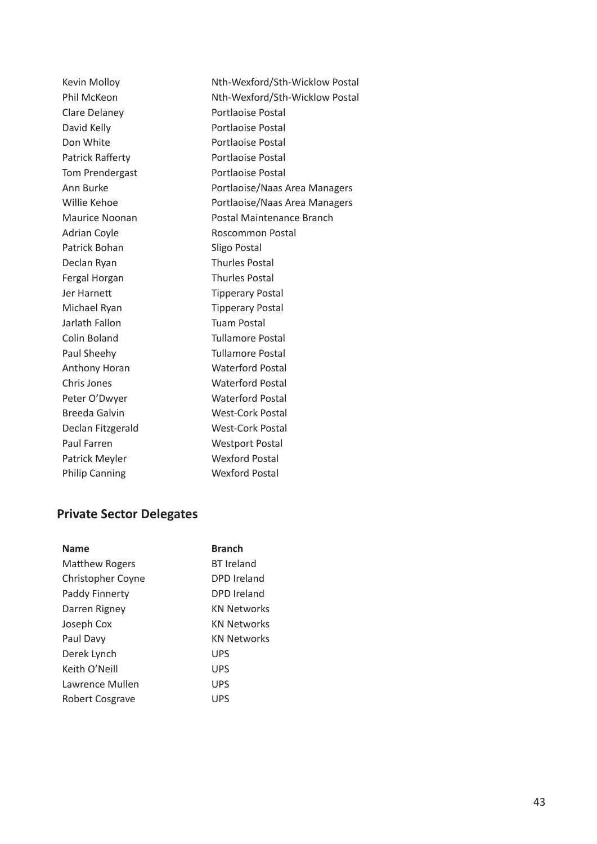Kevin Molloy Nth-Wexford/Sth-Wicklow Postal Phil McKeon Nth-Wexford/Sth-Wicklow Postal Clare Delaney **Portlaoise Postal** David Kelly **Portlaoise Postal** Don White **Portlaoise** Postal Patrick Rafferty **Portlaoise Postal** Tom Prendergast Portlaoise Postal Ann Burke **Portlaoise/Naas Area Managers** Willie Kehoe **Portlaoise/Naas Area Managers** Maurice Noonan Postal Maintenance Branch Adrian Coyle **Roscommon Postal** Patrick Bohan Sligo Postal Declan Ryan Thurles Postal Fergal Horgan Thurles Postal Jer Harnett Tipperary Postal Michael Ryan Tipperary Postal Jarlath Fallon Tuam Postal Colin Boland Tullamore Postal Paul Sheehy **Tullamore Postal** Anthony Horan Waterford Postal Chris Jones Waterford Postal Peter O'Dwyer Waterford Postal Breeda Galvin West-Cork Postal Declan Fitzgerald West-Cork Postal Paul Farren Westport Postal Patrick Meyler Wexford Postal Philip Canning Wexford Postal

### **Private Sector Delegates**

|                          | <b>Branch</b>      |
|--------------------------|--------------------|
| <b>Name</b>              |                    |
| <b>Matthew Rogers</b>    | <b>BT</b> Ireland  |
| <b>Christopher Coyne</b> | DPD Ireland        |
| Paddy Finnerty           | DPD Ireland        |
| Darren Rigney            | <b>KN Networks</b> |
| Joseph Cox               | <b>KN Networks</b> |
| Paul Davy                | <b>KN Networks</b> |
| Derek Lynch              | <b>UPS</b>         |
| Keith O'Neill            | <b>UPS</b>         |
| Lawrence Mullen          | <b>UPS</b>         |
| <b>Robert Cosgrave</b>   | <b>UPS</b>         |